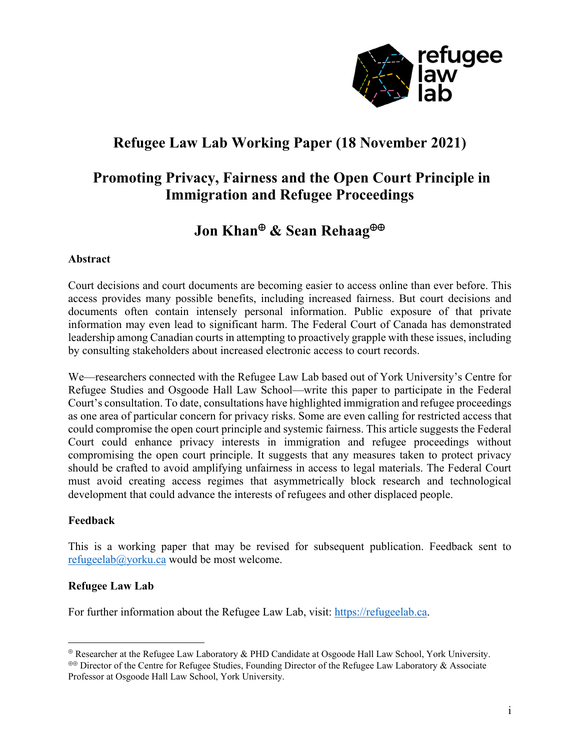

# **Refugee Law Lab Working Paper (18 November 2021)**

## **Promoting Privacy, Fairness and the Open Court Principle in Immigration and Refugee Proceedings**

# **Jon Khan & Sean Rehaag**

### **Abstract**

Court decisions and court documents are becoming easier to access online than ever before. This access provides many possible benefits, including increased fairness. But court decisions and documents often contain intensely personal information. Public exposure of that private information may even lead to significant harm. The Federal Court of Canada has demonstrated leadership among Canadian courts in attempting to proactively grapple with these issues, including by consulting stakeholders about increased electronic access to court records.

We—researchers connected with the Refugee Law Lab based out of York University's Centre for Refugee Studies and Osgoode Hall Law School—write this paper to participate in the Federal Court's consultation. To date, consultations have highlighted immigration and refugee proceedings as one area of particular concern for privacy risks. Some are even calling for restricted access that could compromise the open court principle and systemic fairness. This article suggests the Federal Court could enhance privacy interests in immigration and refugee proceedings without compromising the open court principle. It suggests that any measures taken to protect privacy should be crafted to avoid amplifying unfairness in access to legal materials. The Federal Court must avoid creating access regimes that asymmetrically block research and technological development that could advance the interests of refugees and other displaced people.

#### **Feedback**

This is a working paper that may be revised for subsequent publication. Feedback sent to refugeelab@yorku.ca would be most welcome.

#### **Refugee Law Lab**

For further information about the Refugee Law Lab, visit: https://refugeelab.ca.

Researcher at the Refugee Law Laboratory & PHD Candidate at Osgoode Hall Law School, York University.

**<sup>&</sup>lt;sup>** $\oplus$ **</sup>** Director of the Centre for Refugee Studies, Founding Director of the Refugee Law Laboratory & Associate Professor at Osgoode Hall Law School, York University.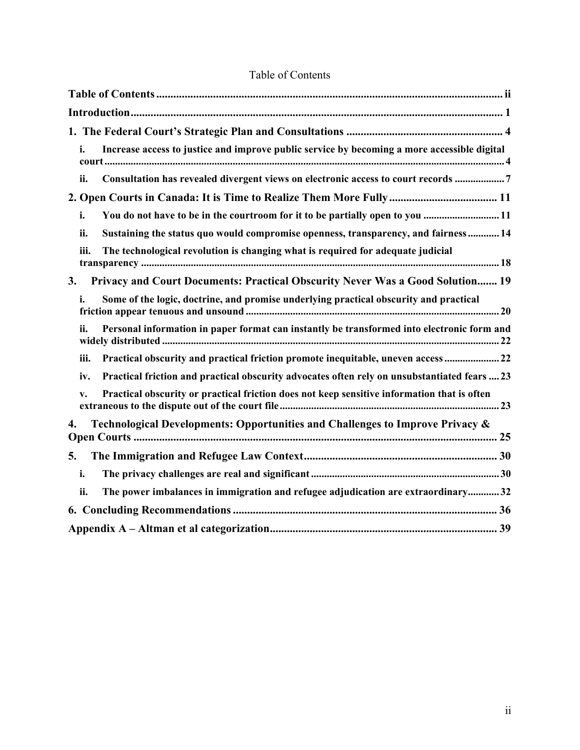| Increase access to justice and improve public service by becoming a more accessible digital<br>i.             |
|---------------------------------------------------------------------------------------------------------------|
| Consultation has revealed divergent views on electronic access to court records 7<br>ii.                      |
|                                                                                                               |
| You do not have to be in the courtroom for it to be partially open to you 11<br>i.                            |
| Sustaining the status quo would compromise openness, transparency, and fairness 14<br>ii.                     |
| The technological revolution is changing what is required for adequate judicial<br>iii.                       |
| Privacy and Court Documents: Practical Obscurity Never Was a Good Solution 19<br>3.                           |
| Some of the logic, doctrine, and promise underlying practical obscurity and practical<br>i.                   |
| Personal information in paper format can instantly be transformed into electronic form and<br>ii.             |
| Practical obscurity and practical friction promote inequitable, uneven access  22<br>iii.                     |
| Practical friction and practical obscurity advocates often rely on unsubstantiated fears  23<br>iv.           |
| Practical obscurity or practical friction does not keep sensitive information that is often<br>$\mathbf{v}$ . |
| Technological Developments: Opportunities and Challenges to Improve Privacy &<br>4.                           |
| 5.                                                                                                            |
| i.                                                                                                            |
| The power imbalances in immigration and refugee adjudication are extraordinary32<br>ii.                       |
|                                                                                                               |
|                                                                                                               |

## Table of Contents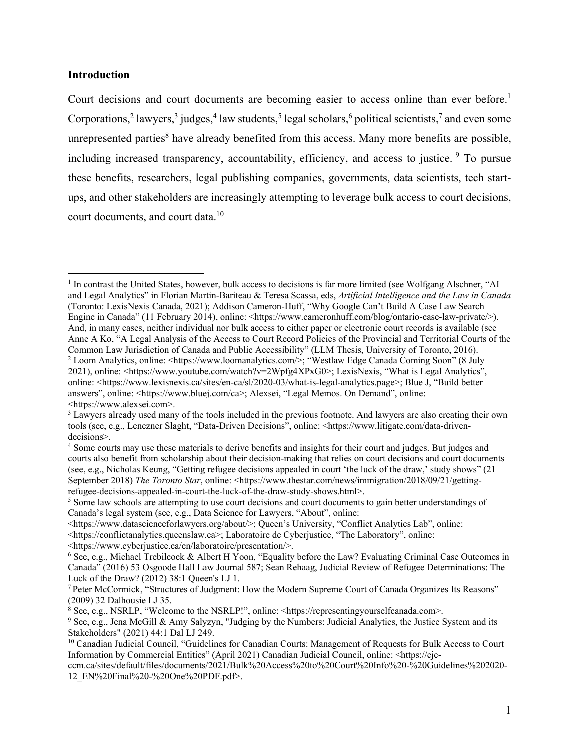#### **Introduction**

Court decisions and court documents are becoming easier to access online than ever before.<sup>1</sup> Corporations,<sup>2</sup> lawyers,<sup>3</sup> judges,<sup>4</sup> law students,<sup>5</sup> legal scholars,<sup>6</sup> political scientists,<sup>7</sup> and even some unrepresented parties $8$  have already benefited from this access. Many more benefits are possible, including increased transparency, accountability, efficiency, and access to justice. <sup>9</sup> To pursue these benefits, researchers, legal publishing companies, governments, data scientists, tech startups, and other stakeholders are increasingly attempting to leverage bulk access to court decisions, court documents, and court data.10

<sup>&</sup>lt;sup>1</sup> In contrast the United States, however, bulk access to decisions is far more limited (see Wolfgang Alschner, "AI and Legal Analytics" in Florian Martin-Bariteau & Teresa Scassa, eds, *Artificial Intelligence and the Law in Canada* (Toronto: LexisNexis Canada, 2021); Addison Cameron-Huff, "Why Google Can't Build A Case Law Search Engine in Canada" (11 February 2014), online: <https://www.cameronhuff.com/blog/ontario-case-law-private/>). And, in many cases, neither individual nor bulk access to either paper or electronic court records is available (see Anne A Ko, "A Legal Analysis of the Access to Court Record Policies of the Provincial and Territorial Courts of the Common Law Jurisdiction of Canada and Public Accessibility" (LLM Thesis, University of Toronto, 2016).<br><sup>2</sup> Loom Analytics, online: <https://www.loomanalytics.com/>; "Westlaw Edge Canada Coming Soon" (8 July 2021), online: <https://www.youtube.com/watch?v=2Wpfg4XPxG0>; LexisNexis, "What is Legal Analytics", online: <https://www.lexisnexis.ca/sites/en-ca/sl/2020-03/what-is-legal-analytics.page>; Blue J, "Build better answers", online: <https://www.bluej.com/ca>; Alexsei, "Legal Memos. On Demand", online: <https://www.alexsei.com>.

<sup>&</sup>lt;sup>3</sup> Lawyers already used many of the tools included in the previous footnote. And lawyers are also creating their own tools (see, e.g., Lenczner Slaght, "Data-Driven Decisions", online: <https://www.litigate.com/data-drivendecisions>.

<sup>4</sup> Some courts may use these materials to derive benefits and insights for their court and judges. But judges and courts also benefit from scholarship about their decision-making that relies on court decisions and court documents (see, e.g., Nicholas Keung, "Getting refugee decisions appealed in court 'the luck of the draw,' study shows" (21 September 2018) *The Toronto Star*, online: <https://www.thestar.com/news/immigration/2018/09/21/gettingrefugee-decisions-appealed-in-court-the-luck-of-the-draw-study-shows.html>.

<sup>&</sup>lt;sup>5</sup> Some law schools are attempting to use court decisions and court documents to gain better understandings of Canada's legal system (see, e.g., Data Science for Lawyers, "About", online:

<sup>&</sup>lt;https://www.datascienceforlawyers.org/about/>; Queen's University, "Conflict Analytics Lab", online: <https://conflictanalytics.queenslaw.ca>; Laboratoire de Cyberjustice, "The Laboratory", online: <https://www.cyberjustice.ca/en/laboratoire/presentation/>. 6

 $6$  See, e.g., Michael Trebilcock & Albert H Yoon, "Equality before the Law? Evaluating Criminal Case Outcomes in Canada" (2016) 53 Osgoode Hall Law Journal 587; Sean Rehaag, Judicial Review of Refugee Determinations: The Luck of the Draw? (2012) 38:1 Queen's LJ 1.

<sup>7</sup> Peter McCormick, "Structures of Judgment: How the Modern Supreme Court of Canada Organizes Its Reasons" (2009) 32 Dalhousie LJ 35.

<sup>&</sup>lt;sup>8</sup> See, e.g., NSRLP, "Welcome to the NSRLP!", online: <https://representingyourselfcanada.com>.<br><sup>9</sup> See, e.g., Jena McGill & Amy Salvzyn, "Judging by the Numbers: Judicial Analytics, the Justice S

<sup>&</sup>lt;sup>9</sup> See, e.g., Jena McGill & Amy Salyzyn, "Judging by the Numbers: Judicial Analytics, the Justice System and its Stakeholders" (2021) 44:1 Dal LJ 249.

<sup>10</sup> Canadian Judicial Council, "Guidelines for Canadian Courts: Management of Requests for Bulk Access to Court Information by Commercial Entities" (April 2021) Canadian Judicial Council, online: <https://cjc-

ccm.ca/sites/default/files/documents/2021/Bulk%20Access%20to%20Court%20Info%20-%20Guidelines%202020- 12\_EN%20Final%20-%20One%20PDF.pdf>.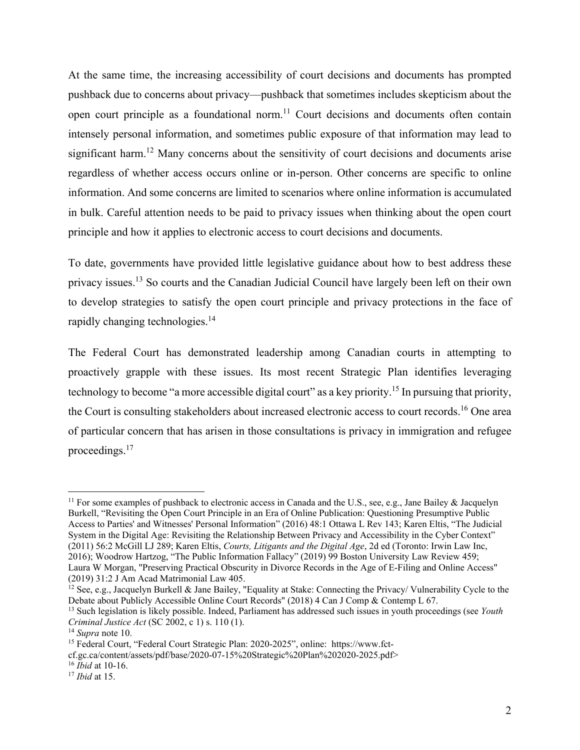At the same time, the increasing accessibility of court decisions and documents has prompted pushback due to concerns about privacy—pushback that sometimes includes skepticism about the open court principle as a foundational norm.<sup>11</sup> Court decisions and documents often contain intensely personal information, and sometimes public exposure of that information may lead to significant harm.<sup>12</sup> Many concerns about the sensitivity of court decisions and documents arise regardless of whether access occurs online or in-person. Other concerns are specific to online information. And some concerns are limited to scenarios where online information is accumulated in bulk. Careful attention needs to be paid to privacy issues when thinking about the open court principle and how it applies to electronic access to court decisions and documents.

To date, governments have provided little legislative guidance about how to best address these privacy issues.13 So courts and the Canadian Judicial Council have largely been left on their own to develop strategies to satisfy the open court principle and privacy protections in the face of rapidly changing technologies.<sup>14</sup>

The Federal Court has demonstrated leadership among Canadian courts in attempting to proactively grapple with these issues. Its most recent Strategic Plan identifies leveraging technology to become "a more accessible digital court" as a key priority.<sup>15</sup> In pursuing that priority, the Court is consulting stakeholders about increased electronic access to court records.<sup>16</sup> One area of particular concern that has arisen in those consultations is privacy in immigration and refugee proceedings.17

<sup>&</sup>lt;sup>11</sup> For some examples of pushback to electronic access in Canada and the U.S., see, e.g., Jane Bailey & Jacquelyn Burkell, "Revisiting the Open Court Principle in an Era of Online Publication: Questioning Presumptive Public Access to Parties' and Witnesses' Personal Information" (2016) 48:1 Ottawa L Rev 143; Karen Eltis, "The Judicial System in the Digital Age: Revisiting the Relationship Between Privacy and Accessibility in the Cyber Context" (2011) 56:2 McGill LJ 289; Karen Eltis, *Courts, Litigants and the Digital Age*, 2d ed (Toronto: Irwin Law Inc, 2016); Woodrow Hartzog, "The Public Information Fallacy" (2019) 99 Boston University Law Review 459; Laura W Morgan, "Preserving Practical Obscurity in Divorce Records in the Age of E-Filing and Online Access" (2019) 31:2 J Am Acad Matrimonial Law 405.

<sup>&</sup>lt;sup>12</sup> See, e.g., Jacquelyn Burkell & Jane Bailey, "Equality at Stake: Connecting the Privacy/ Vulnerability Cycle to the Debate about Publicly Accessible Online Court Records" (2018) 4 Can J Comp & Contemp L 67.

<sup>13</sup> Such legislation is likely possible. Indeed, Parliament has addressed such issues in youth proceedings (see *Youth Criminal Justice Act* (SC 2002, c 1) s. 110 (1).<br><sup>14</sup> *Supra* note 10. <sup>15</sup> Federal Court Strategic Plan: 2020-2025", online: https://www.fct-

cf.gc.ca/content/assets/pdf/base/2020-07-15%20Strategic%20Plan%202020-2025.pdf>

<sup>16</sup> *Ibid* at 10-16. 17 *Ibid* at 15.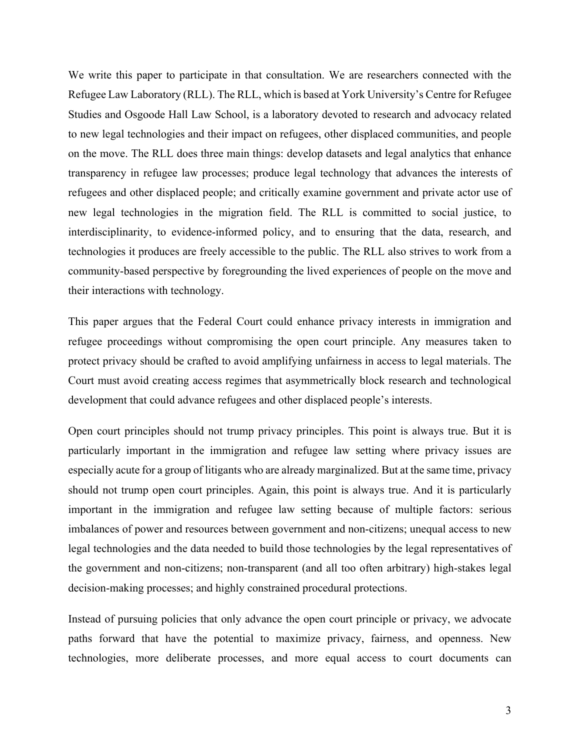We write this paper to participate in that consultation. We are researchers connected with the Refugee Law Laboratory (RLL). The RLL, which is based at York University's Centre for Refugee Studies and Osgoode Hall Law School, is a laboratory devoted to research and advocacy related to new legal technologies and their impact on refugees, other displaced communities, and people on the move. The RLL does three main things: develop datasets and legal analytics that enhance transparency in refugee law processes; produce legal technology that advances the interests of refugees and other displaced people; and critically examine government and private actor use of new legal technologies in the migration field. The RLL is committed to social justice, to interdisciplinarity, to evidence-informed policy, and to ensuring that the data, research, and technologies it produces are freely accessible to the public. The RLL also strives to work from a community-based perspective by foregrounding the lived experiences of people on the move and their interactions with technology.

This paper argues that the Federal Court could enhance privacy interests in immigration and refugee proceedings without compromising the open court principle. Any measures taken to protect privacy should be crafted to avoid amplifying unfairness in access to legal materials. The Court must avoid creating access regimes that asymmetrically block research and technological development that could advance refugees and other displaced people's interests.

Open court principles should not trump privacy principles. This point is always true. But it is particularly important in the immigration and refugee law setting where privacy issues are especially acute for a group of litigants who are already marginalized. But at the same time, privacy should not trump open court principles. Again, this point is always true. And it is particularly important in the immigration and refugee law setting because of multiple factors: serious imbalances of power and resources between government and non-citizens; unequal access to new legal technologies and the data needed to build those technologies by the legal representatives of the government and non-citizens; non-transparent (and all too often arbitrary) high-stakes legal decision-making processes; and highly constrained procedural protections.

Instead of pursuing policies that only advance the open court principle or privacy, we advocate paths forward that have the potential to maximize privacy, fairness, and openness. New technologies, more deliberate processes, and more equal access to court documents can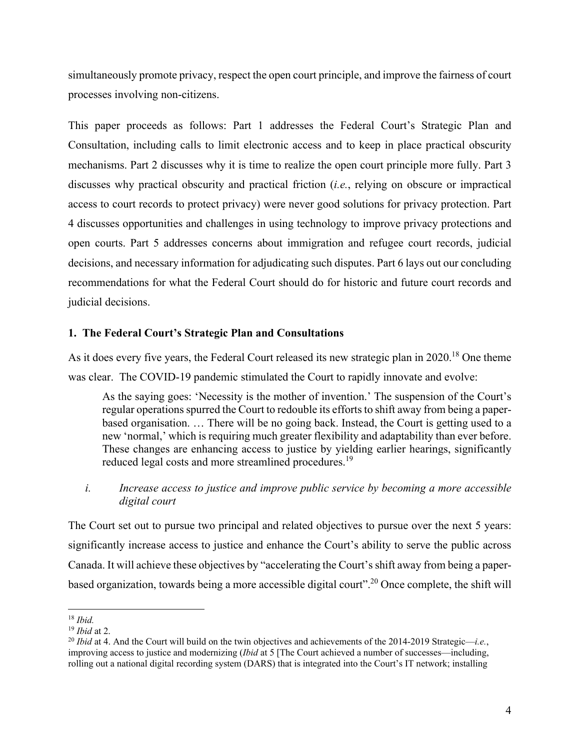simultaneously promote privacy, respect the open court principle, and improve the fairness of court processes involving non-citizens.

This paper proceeds as follows: Part 1 addresses the Federal Court's Strategic Plan and Consultation, including calls to limit electronic access and to keep in place practical obscurity mechanisms. Part 2 discusses why it is time to realize the open court principle more fully. Part 3 discusses why practical obscurity and practical friction (*i.e.*, relying on obscure or impractical access to court records to protect privacy) were never good solutions for privacy protection. Part 4 discusses opportunities and challenges in using technology to improve privacy protections and open courts. Part 5 addresses concerns about immigration and refugee court records, judicial decisions, and necessary information for adjudicating such disputes. Part 6 lays out our concluding recommendations for what the Federal Court should do for historic and future court records and judicial decisions.

### **1. The Federal Court's Strategic Plan and Consultations**

As it does every five years, the Federal Court released its new strategic plan in 2020.<sup>18</sup> One theme was clear. The COVID-19 pandemic stimulated the Court to rapidly innovate and evolve:

As the saying goes: 'Necessity is the mother of invention.' The suspension of the Court's regular operations spurred the Court to redouble its efforts to shift away from being a paperbased organisation. … There will be no going back. Instead, the Court is getting used to a new 'normal,' which is requiring much greater flexibility and adaptability than ever before. These changes are enhancing access to justice by yielding earlier hearings, significantly reduced legal costs and more streamlined procedures.<sup>19</sup>

## *i. Increase access to justice and improve public service by becoming a more accessible digital court*

The Court set out to pursue two principal and related objectives to pursue over the next 5 years: significantly increase access to justice and enhance the Court's ability to serve the public across Canada. It will achieve these objectives by "accelerating the Court's shift away from being a paperbased organization, towards being a more accessible digital court".20 Once complete, the shift will

<sup>18</sup> *Ibid.* 

<sup>&</sup>lt;sup>19</sup> *Ibid* at 2.<br><sup>20</sup> *Ibid* at 4. And the Court will build on the twin objectives and achievements of the 2014-2019 Strategic—*i.e.*, improving access to justice and modernizing (*Ibid* at 5 [The Court achieved a number of successes—including, rolling out a national digital recording system (DARS) that is integrated into the Court's IT network; installing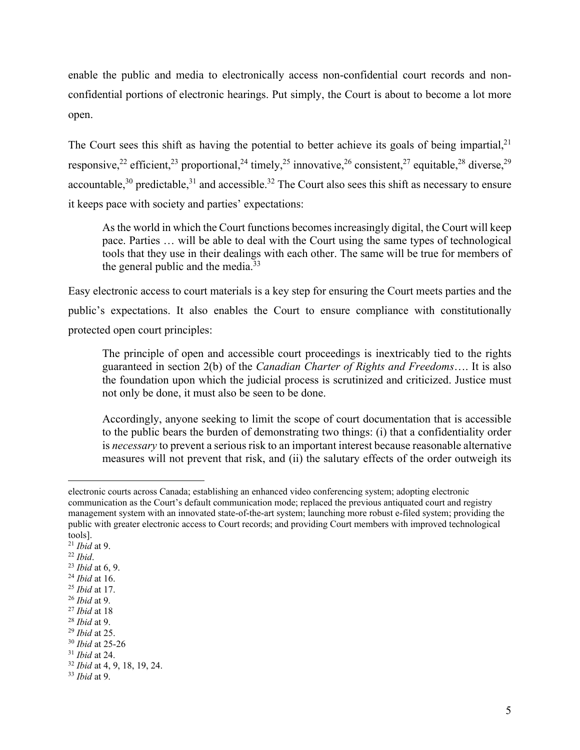enable the public and media to electronically access non-confidential court records and nonconfidential portions of electronic hearings. Put simply, the Court is about to become a lot more open.

The Court sees this shift as having the potential to better achieve its goals of being impartial,  $2<sup>1</sup>$ responsive,<sup>22</sup> efficient,<sup>23</sup> proportional,<sup>24</sup> timely,<sup>25</sup> innovative,<sup>26</sup> consistent,<sup>27</sup> equitable.<sup>28</sup> diverse.<sup>29</sup> accountable,  $30$  predictable,  $31$  and accessible.  $32$  The Court also sees this shift as necessary to ensure it keeps pace with society and parties' expectations:

As the world in which the Court functions becomes increasingly digital, the Court will keep pace. Parties … will be able to deal with the Court using the same types of technological tools that they use in their dealings with each other. The same will be true for members of the general public and the media. $33$ 

Easy electronic access to court materials is a key step for ensuring the Court meets parties and the public's expectations. It also enables the Court to ensure compliance with constitutionally protected open court principles:

The principle of open and accessible court proceedings is inextricably tied to the rights guaranteed in section 2(b) of the *Canadian Charter of Rights and Freedoms*…. It is also the foundation upon which the judicial process is scrutinized and criticized. Justice must not only be done, it must also be seen to be done.

Accordingly, anyone seeking to limit the scope of court documentation that is accessible to the public bears the burden of demonstrating two things: (i) that a confidentiality order is *necessary* to prevent a serious risk to an important interest because reasonable alternative measures will not prevent that risk, and (ii) the salutary effects of the order outweigh its

electronic courts across Canada; establishing an enhanced video conferencing system; adopting electronic communication as the Court's default communication mode; replaced the previous antiquated court and registry management system with an innovated state-of-the-art system; launching more robust e-filed system; providing the public with greater electronic access to Court records; and providing Court members with improved technological tools].

<sup>&</sup>lt;sup>21</sup> *Ibid* at 9.<br>
<sup>22</sup> *Ibid*.<br>
<sup>23</sup> *Ibid* at 6, 9.<br>
<sup>24</sup> *Ibid* at 16.<br>
<sup>25</sup> *Ibid* at 17.<br>
<sup>26</sup> *Ibid* at 9.<br>
<sup>27</sup> *Ibid* at 18<br>
<sup>28</sup> *Ibid* at 25.<br>
<sup>29</sup> *Ibid* at 25-26<br>
<sup>30</sup> *Ibid* at 24.<br>
<sup>32</sup> *Ibid* at 4, 9, 18, 19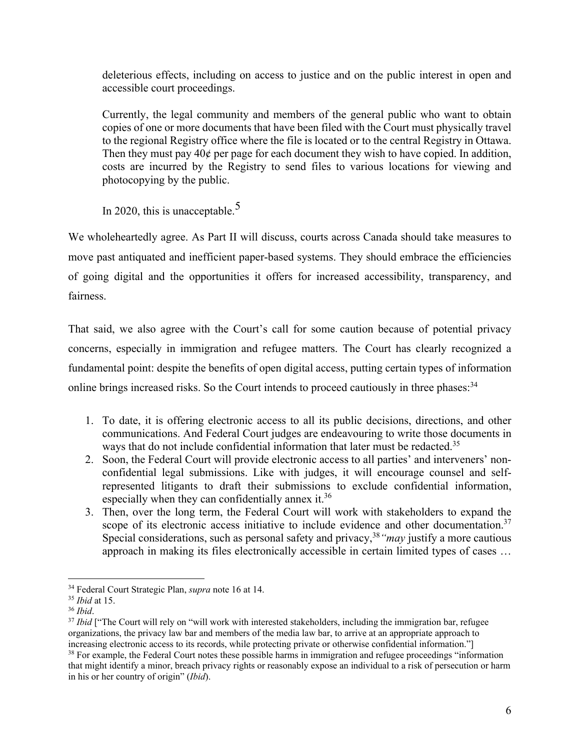deleterious effects, including on access to justice and on the public interest in open and accessible court proceedings.

Currently, the legal community and members of the general public who want to obtain copies of one or more documents that have been filed with the Court must physically travel to the regional Registry office where the file is located or to the central Registry in Ottawa. Then they must pay  $40¢$  per page for each document they wish to have copied. In addition, costs are incurred by the Registry to send files to various locations for viewing and photocopying by the public.

In 2020, this is unacceptable.<sup>5</sup>

We wholeheartedly agree. As Part II will discuss, courts across Canada should take measures to move past antiquated and inefficient paper-based systems. They should embrace the efficiencies of going digital and the opportunities it offers for increased accessibility, transparency, and fairness.

That said, we also agree with the Court's call for some caution because of potential privacy concerns, especially in immigration and refugee matters. The Court has clearly recognized a fundamental point: despite the benefits of open digital access, putting certain types of information online brings increased risks. So the Court intends to proceed cautiously in three phases:<sup>34</sup>

- 1. To date, it is offering electronic access to all its public decisions, directions, and other communications. And Federal Court judges are endeavouring to write those documents in ways that do not include confidential information that later must be redacted.<sup>35</sup>
- 2. Soon, the Federal Court will provide electronic access to all parties' and interveners' nonconfidential legal submissions. Like with judges, it will encourage counsel and selfrepresented litigants to draft their submissions to exclude confidential information, especially when they can confidentially annex it. $36$
- 3. Then, over the long term, the Federal Court will work with stakeholders to expand the scope of its electronic access initiative to include evidence and other documentation.<sup>37</sup> Special considerations, such as personal safety and privacy,<sup>38</sup> "*may* justify a more cautious approach in making its files electronically accessible in certain limited types of cases …

<sup>&</sup>lt;sup>34</sup> Federal Court Strategic Plan, *supra* note 16 at 14.<br><sup>35</sup> *Ibid* at 15.<br><sup>36</sup> *Ibid*. <sup>37</sup> *Ibid* ["The Court will rely on "will work with interested stakeholders, including the immigration bar, refugee organizations, the privacy law bar and members of the media law bar, to arrive at an appropriate approach to increasing electronic access to its records, while protecting private or otherwise confidential information."]<br><sup>38</sup> For example, the Federal Court notes these possible harms in immigration and refugee proceedings "informat that might identify a minor, breach privacy rights or reasonably expose an individual to a risk of persecution or harm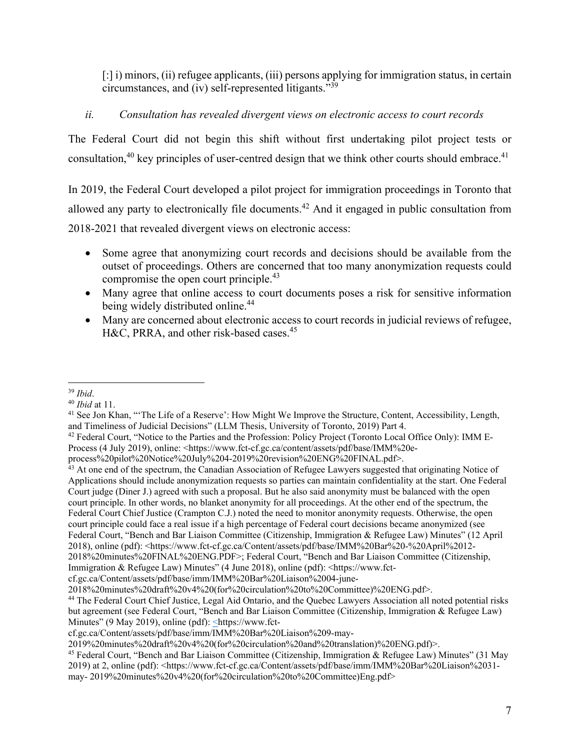[:] i) minors, (ii) refugee applicants, (iii) persons applying for immigration status, in certain circumstances, and (iv) self-represented litigants."39

## *ii. Consultation has revealed divergent views on electronic access to court records*

The Federal Court did not begin this shift without first undertaking pilot project tests or consultation, $40$  key principles of user-centred design that we think other courts should embrace. $41$ 

In 2019, the Federal Court developed a pilot project for immigration proceedings in Toronto that allowed any party to electronically file documents.42 And it engaged in public consultation from 2018-2021 that revealed divergent views on electronic access:

- Some agree that anonymizing court records and decisions should be available from the outset of proceedings. Others are concerned that too many anonymization requests could compromise the open court principle.<sup>43</sup>
- Many agree that online access to court documents poses a risk for sensitive information being widely distributed online.<sup>44</sup>
- Many are concerned about electronic access to court records in judicial reviews of refugee, H&C, PRRA, and other risk-based cases.<sup>45</sup>

<sup>&</sup>lt;sup>39</sup> *Ibid*.<br><sup>40</sup> *Ibid* at 11.<br><sup>41</sup> See Jon Khan, "The Life of a Reserve': How Might We Improve the Structure, Content, Accessibility, Length, and Timeliness of Judicial Decisions" (LLM Thesis, University of Toronto, 2019) Part 4.<br><sup>42</sup> Federal Court, "Notice to the Parties and the Profession: Policy Project (Toronto Local Office Only): IMM E-

Process (4 July 2019), online: <https://www.fct-cf.gc.ca/content/assets/pdf/base/IMM%20e-

process%20pilot%20Notice%20July%204-2019%20revision%20ENG%20FINAL.pdf>.

<sup>&</sup>lt;sup>43</sup> At one end of the spectrum, the Canadian Association of Refugee Lawyers suggested that originating Notice of Applications should include anonymization requests so parties can maintain confidentiality at the start. One Federal Court judge (Diner J.) agreed with such a proposal. But he also said anonymity must be balanced with the open court principle. In other words, no blanket anonymity for all proceedings. At the other end of the spectrum, the Federal Court Chief Justice (Crampton C.J.) noted the need to monitor anonymity requests. Otherwise, the open court principle could face a real issue if a high percentage of Federal court decisions became anonymized (see Federal Court, "Bench and Bar Liaison Committee (Citizenship, Immigration & Refugee Law) Minutes" (12 April 2018), online (pdf): <https://www.fct-cf.gc.ca/Content/assets/pdf/base/IMM%20Bar%20-%20April%2012-2018%20minutes%20FINAL%20ENG.PDF>; Federal Court, "Bench and Bar Liaison Committee (Citizenship,

Immigration & Refugee Law) Minutes" (4 June 2018), online (pdf): <https://www.fct-

cf.gc.ca/Content/assets/pdf/base/imm/IMM%20Bar%20Liaison%2004-june-

<sup>2018%20</sup>minutes%20draft%20v4%20(for%20circulation%20to%20Committee)%20ENG.pdf>.

<sup>&</sup>lt;sup>44</sup> The Federal Court Chief Justice, Legal Aid Ontario, and the Quebec Lawyers Association all noted potential risks but agreement (see Federal Court, "Bench and Bar Liaison Committee (Citizenship, Immigration & Refugee Law) Minutes" (9 May 2019), online (pdf): <https://www.fct-

cf.gc.ca/Content/assets/pdf/base/imm/IMM%20Bar%20Liaison%209-may-

<sup>2019%20</sup>minutes%20draft%20v4%20(for%20circulation%20and%20translation)%20ENG.pdf)>. 45 Federal Court, "Bench and Bar Liaison Committee (Citizenship, Immigration & Refugee Law) Minutes" (31 May 2019) at 2, online (pdf): <https://www.fct-cf.gc.ca/Content/assets/pdf/base/imm/IMM%20Bar%20Liaison%2031 may- 2019%20minutes%20v4%20(for%20circulation%20to%20Committee)Eng.pdf>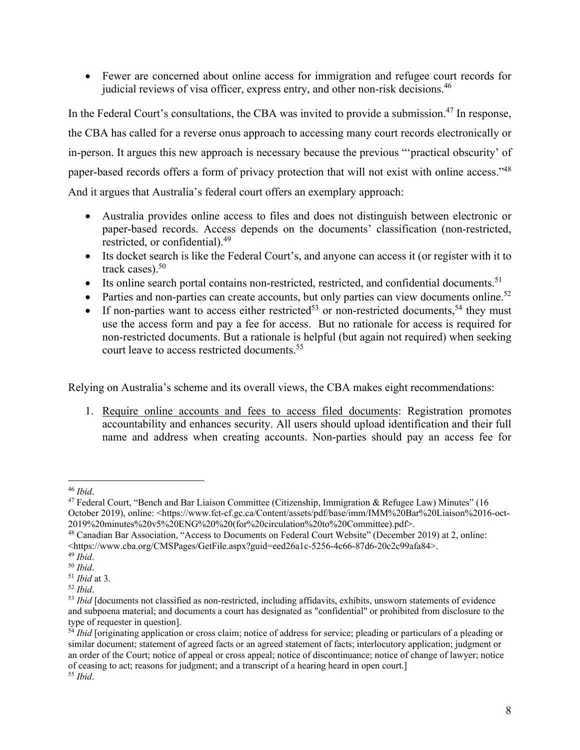Fewer are concerned about online access for immigration and refugee court records for judicial reviews of visa officer, express entry, and other non-risk decisions.<sup>46</sup>

In the Federal Court's consultations, the CBA was invited to provide a submission.<sup>47</sup> In response, the CBA has called for a reverse onus approach to accessing many court records electronically or in-person. It argues this new approach is necessary because the previous "'practical obscurity' of paper-based records offers a form of privacy protection that will not exist with online access."<sup>48</sup> And it argues that Australia's federal court offers an exemplary approach:

- Australia provides online access to files and does not distinguish between electronic or paper-based records. Access depends on the documents' classification (non-restricted, restricted, or confidential).49
- Its docket search is like the Federal Court's, and anyone can access it (or register with it to track cases). $50$
- Its online search portal contains non-restricted, restricted, and confidential documents.<sup>51</sup>
- Parties and non-parties can create accounts, but only parties can view documents online.<sup>52</sup>
- If non-parties want to access either restricted<sup>53</sup> or non-restricted documents,<sup>54</sup> they must use the access form and pay a fee for access. But no rationale for access is required for non-restricted documents. But a rationale is helpful (but again not required) when seeking court leave to access restricted documents.<sup>55</sup>

Relying on Australia's scheme and its overall views, the CBA makes eight recommendations:

1. Require online accounts and fees to access filed documents: Registration promotes accountability and enhances security. All users should upload identification and their full name and address when creating accounts. Non-parties should pay an access fee for

<sup>&</sup>lt;sup>46</sup> *Ibid*.<br><sup>47</sup> Federal Court, "Bench and Bar Liaison Committee (Citizenship, Immigration & Refugee Law) Minutes" (16 October 2019), online: <https://www.fct-cf.gc.ca/Content/assets/pdf/base/imm/IMM%20Bar%20Liaison%2016-oct-2019%20minutes%20v5%20ENG%20%20(for%20circulation%20to%20Committee).pdf>.

<sup>48</sup> Canadian Bar Association, "Access to Documents on Federal Court Website" (December 2019) at 2, online: https://www.cba.org/CMSPages/GetFile.aspx?guid=eed26a1c-5256-4c66-87d6-20c2c99afa84>.<br><sup>49</sup> Ibid.<br><sup>50</sup> Ibid.<br><sup>51</sup> Ibid at 3.<br><sup>52</sup> Ibid.<br><sup>53</sup> Ibid Idocuments not classified as non-restricted. including affidavits. exhibits.

and subpoena material; and documents a court has designated as "confidential" or prohibited from disclosure to the type of requester in question].

<sup>54</sup> *Ibid* [originating application or cross claim; notice of address for service; pleading or particulars of a pleading or similar document; statement of agreed facts or an agreed statement of facts; interlocutory application; judgment or an order of the Court; notice of appeal or cross appeal; notice of discontinuance; notice of change of lawyer; notice of ceasing to act; reasons for judgment; and a transcript of a hearing heard in open court.] 55 *Ibid*.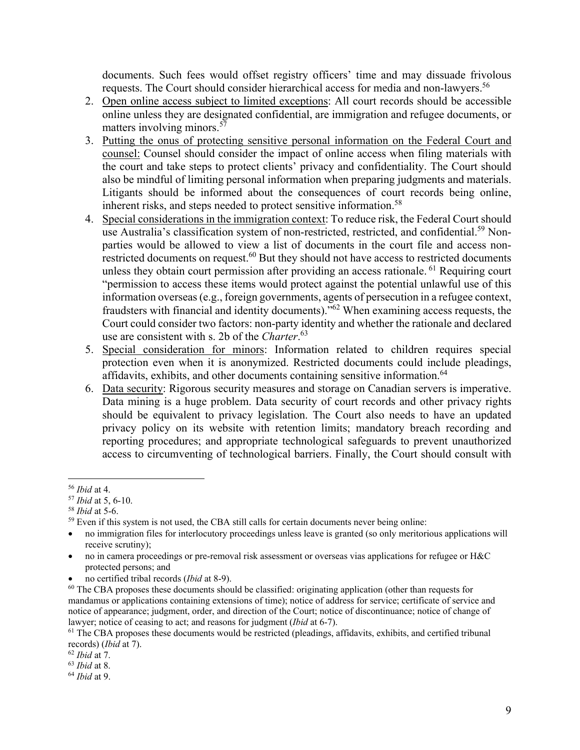documents. Such fees would offset registry officers' time and may dissuade frivolous requests. The Court should consider hierarchical access for media and non-lawyers.<sup>56</sup>

- 2. Open online access subject to limited exceptions: All court records should be accessible online unless they are designated confidential, are immigration and refugee documents, or matters involving minors.<sup>57</sup>
- 3. Putting the onus of protecting sensitive personal information on the Federal Court and counsel: Counsel should consider the impact of online access when filing materials with the court and take steps to protect clients' privacy and confidentiality. The Court should also be mindful of limiting personal information when preparing judgments and materials. Litigants should be informed about the consequences of court records being online, inherent risks, and steps needed to protect sensitive information.<sup>58</sup>
- 4. Special considerations in the immigration context: To reduce risk, the Federal Court should use Australia's classification system of non-restricted, restricted, and confidential.<sup>59</sup> Nonparties would be allowed to view a list of documents in the court file and access nonrestricted documents on request.<sup>60</sup> But they should not have access to restricted documents unless they obtain court permission after providing an access rationale. <sup>61</sup> Requiring court "permission to access these items would protect against the potential unlawful use of this information overseas (e.g., foreign governments, agents of persecution in a refugee context, fraudsters with financial and identity documents)."62 When examining access requests, the Court could consider two factors: non-party identity and whether the rationale and declared use are consistent with s. 2b of the *Charter*. 63
- 5. Special consideration for minors: Information related to children requires special protection even when it is anonymized. Restricted documents could include pleadings, affidavits, exhibits, and other documents containing sensitive information.<sup>64</sup>
- 6. Data security: Rigorous security measures and storage on Canadian servers is imperative. Data mining is a huge problem. Data security of court records and other privacy rights should be equivalent to privacy legislation. The Court also needs to have an updated privacy policy on its website with retention limits; mandatory breach recording and reporting procedures; and appropriate technological safeguards to prevent unauthorized access to circumventing of technological barriers. Finally, the Court should consult with

<sup>&</sup>lt;sup>56</sup> *Ibid* at 4.<br><sup>57</sup> *Ibid* at 5, 6-10.<br><sup>58</sup> *Ibid* at 5-6.<br><sup>59</sup> Even if this system is not used, the CBA still calls for certain documents never being online:

no immigration files for interlocutory proceedings unless leave is granted (so only meritorious applications will receive scrutiny);

no in camera proceedings or pre-removal risk assessment or overseas vias applications for refugee or H&C protected persons; and

<sup>•</sup> no certified tribal records (*Ibid* at 8-9).<br><sup>60</sup> The CBA proposes these documents should be classified: originating application (other than requests for mandamus or applications containing extensions of time); notice of address for service; certificate of service and notice of appearance; judgment, order, and direction of the Court; notice of discontinuance; notice of change of lawyer; notice of ceasing to act; and reasons for judgment (*Ibid* at 6-7).<br><sup>61</sup> The CBA proposes these documents would be restricted (pleadings, affidavits, exhibits, and certified tribunal

records) (*Ibid* at 7). 62 *Ibid* at 7. 63 *Ibid* at 8. 64 *Ibid* at 9.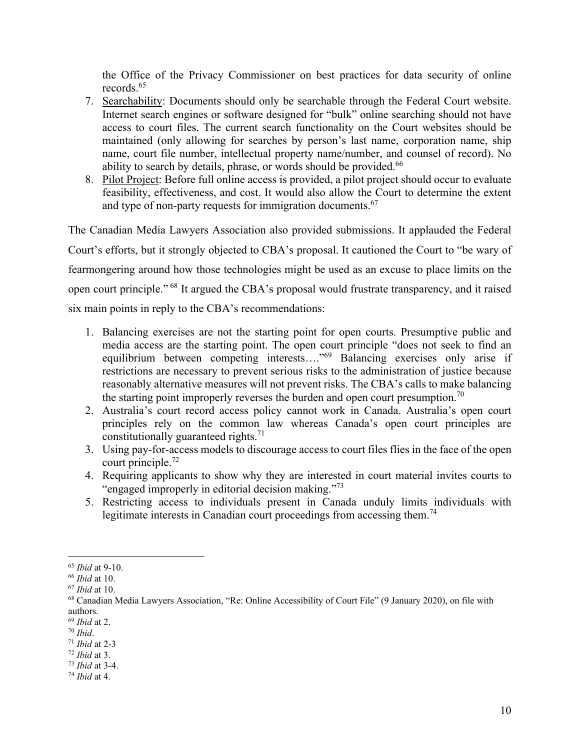the Office of the Privacy Commissioner on best practices for data security of online records.65

- 7. Searchability: Documents should only be searchable through the Federal Court website. Internet search engines or software designed for "bulk" online searching should not have access to court files. The current search functionality on the Court websites should be maintained (only allowing for searches by person's last name, corporation name, ship name, court file number, intellectual property name/number, and counsel of record). No ability to search by details, phrase, or words should be provided.<sup>66</sup>
- 8. Pilot Project: Before full online access is provided, a pilot project should occur to evaluate feasibility, effectiveness, and cost. It would also allow the Court to determine the extent and type of non-party requests for immigration documents.<sup>67</sup>

The Canadian Media Lawyers Association also provided submissions. It applauded the Federal Court's efforts, but it strongly objected to CBA's proposal. It cautioned the Court to "be wary of fearmongering around how those technologies might be used as an excuse to place limits on the open court principle." 68 It argued the CBA's proposal would frustrate transparency, and it raised six main points in reply to the CBA's recommendations:

- 1. Balancing exercises are not the starting point for open courts. Presumptive public and media access are the starting point. The open court principle "does not seek to find an equilibrium between competing interests…."69 Balancing exercises only arise if restrictions are necessary to prevent serious risks to the administration of justice because reasonably alternative measures will not prevent risks. The CBA's calls to make balancing the starting point improperly reverses the burden and open court presumption.<sup>70</sup>
- 2. Australia's court record access policy cannot work in Canada. Australia's open court principles rely on the common law whereas Canada's open court principles are constitutionally guaranteed rights. $71$
- 3. Using pay-for-access models to discourage access to court files flies in the face of the open court principle.72
- 4. Requiring applicants to show why they are interested in court material invites courts to "engaged improperly in editorial decision making."<sup>73</sup>
- 5. Restricting access to individuals present in Canada unduly limits individuals with legitimate interests in Canadian court proceedings from accessing them.<sup>74</sup>

- 69 *Ibid* at 2. 70 *Ibid*. 71 *Ibid* at 2-3 72 *Ibid* at 3. 73 *Ibid* at 3-4. 74 *Ibid* at 4.
- 

<sup>&</sup>lt;sup>65</sup> *Ibid* at 9-10.<br><sup>66</sup> *Ibid* at 10.<br><sup>67</sup> *Ibid* at 10.<br><sup>68</sup> Canadian Media Lawyers Association, "Re: Online Accessibility of Court File" (9 January 2020), on file with authors.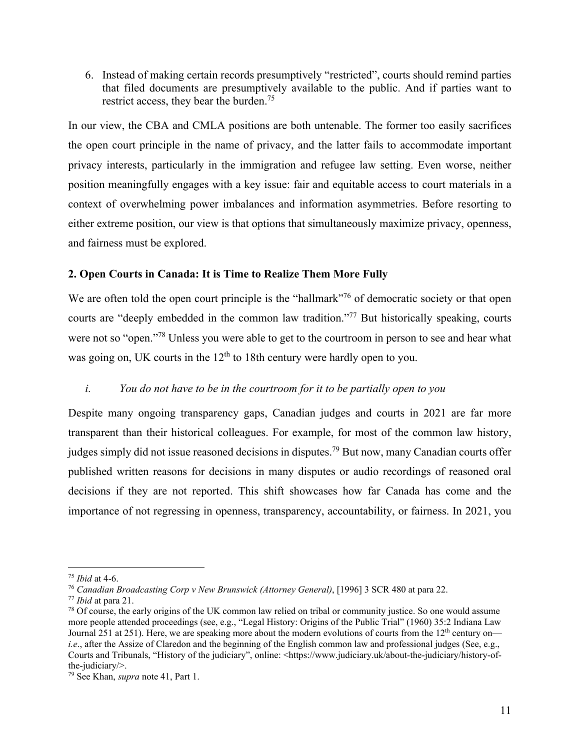6. Instead of making certain records presumptively "restricted", courts should remind parties that filed documents are presumptively available to the public. And if parties want to restrict access, they bear the burden.<sup>75</sup>

In our view, the CBA and CMLA positions are both untenable. The former too easily sacrifices the open court principle in the name of privacy, and the latter fails to accommodate important privacy interests, particularly in the immigration and refugee law setting. Even worse, neither position meaningfully engages with a key issue: fair and equitable access to court materials in a context of overwhelming power imbalances and information asymmetries. Before resorting to either extreme position, our view is that options that simultaneously maximize privacy, openness, and fairness must be explored.

## **2. Open Courts in Canada: It is Time to Realize Them More Fully**

We are often told the open court principle is the "hallmark"<sup>76</sup> of democratic society or that open courts are "deeply embedded in the common law tradition."<sup>77</sup> But historically speaking, courts were not so "open."<sup>78</sup> Unless you were able to get to the courtroom in person to see and hear what was going on, UK courts in the  $12<sup>th</sup>$  to 18th century were hardly open to you.

## *i. You do not have to be in the courtroom for it to be partially open to you*

Despite many ongoing transparency gaps, Canadian judges and courts in 2021 are far more transparent than their historical colleagues. For example, for most of the common law history, judges simply did not issue reasoned decisions in disputes.<sup>79</sup> But now, many Canadian courts offer published written reasons for decisions in many disputes or audio recordings of reasoned oral decisions if they are not reported. This shift showcases how far Canada has come and the importance of not regressing in openness, transparency, accountability, or fairness. In 2021, you

<sup>&</sup>lt;sup>75</sup> Ibid at 4-6.<br><sup>76</sup> Canadian Broadcasting Corp v New Brunswick (Attorney General), [1996] 3 SCR 480 at para 22.<br><sup>77</sup> Ibid at para 21.<br><sup>78</sup> Of course, the early origins of the UK common law relied on tribal or community more people attended proceedings (see, e.g., "Legal History: Origins of the Public Trial" (1960) 35:2 Indiana Law Journal 251 at 251). Here, we are speaking more about the modern evolutions of courts from the 12<sup>th</sup> century on *i.e.*, after the Assize of Claredon and the beginning of the English common law and professional judges (See, e.g., Courts and Tribunals, "History of the judiciary", online: <https://www.judiciary.uk/about-the-judiciary/history-ofthe-judiciary/>.

<sup>79</sup> See Khan, *supra* note 41, Part 1.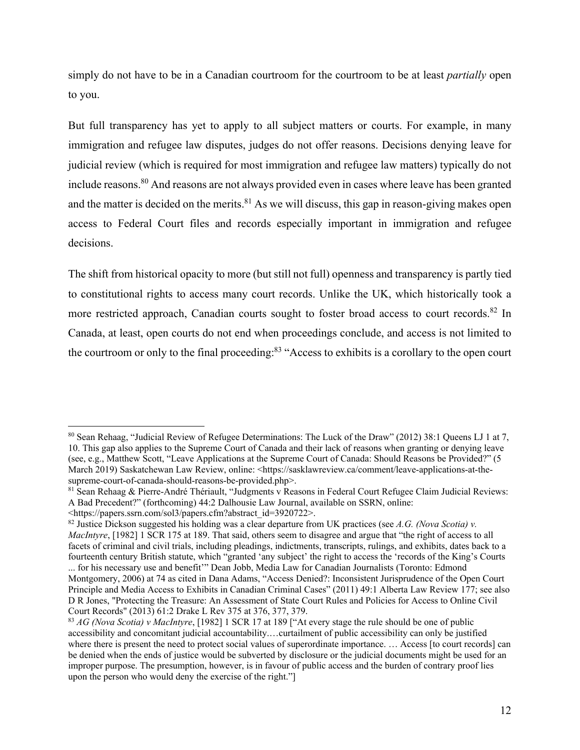simply do not have to be in a Canadian courtroom for the courtroom to be at least *partially* open to you.

But full transparency has yet to apply to all subject matters or courts. For example, in many immigration and refugee law disputes, judges do not offer reasons. Decisions denying leave for judicial review (which is required for most immigration and refugee law matters) typically do not include reasons.80 And reasons are not always provided even in cases where leave has been granted and the matter is decided on the merits. $81$  As we will discuss, this gap in reason-giving makes open access to Federal Court files and records especially important in immigration and refugee decisions.

The shift from historical opacity to more (but still not full) openness and transparency is partly tied to constitutional rights to access many court records. Unlike the UK, which historically took a more restricted approach, Canadian courts sought to foster broad access to court records.<sup>82</sup> In Canada, at least, open courts do not end when proceedings conclude, and access is not limited to the courtroom or only to the final proceeding:<sup>83</sup> "Access to exhibits is a corollary to the open court

<sup>80</sup> Sean Rehaag, "Judicial Review of Refugee Determinations: The Luck of the Draw" (2012) 38:1 Queens LJ 1 at 7, 10. This gap also applies to the Supreme Court of Canada and their lack of reasons when granting or denying leave (see, e.g., Matthew Scott, "Leave Applications at the Supreme Court of Canada: Should Reasons be Provided?" (5 March 2019) Saskatchewan Law Review, online: <https://sasklawreview.ca/comment/leave-applications-at-thesupreme-court-of-canada-should-reasons-be-provided.php>.

<sup>81</sup> Sean Rehaag & Pierre-André Thériault, "Judgments v Reasons in Federal Court Refugee Claim Judicial Reviews: A Bad Precedent?" (forthcoming) 44:2 Dalhousie Law Journal, available on SSRN, online:

<sup>&</sup>lt;https://papers.ssrn.com/sol3/papers.cfm?abstract\_id=3920722>. 82 Justice Dickson suggested his holding was a clear departure from UK practices (see *A.G. (Nova Scotia) v. MacIntyre*, [1982] 1 SCR 175 at 189. That said, others seem to disagree and argue that "the right of access to all facets of criminal and civil trials, including pleadings, indictments, transcripts, rulings, and exhibits, dates back to a fourteenth century British statute, which "granted 'any subject' the right to access the 'records of the King's Courts ... for his necessary use and benefit'" Dean Jobb, Media Law for Canadian Journalists (Toronto: Edmond

Montgomery, 2006) at 74 as cited in Dana Adams, "Access Denied?: Inconsistent Jurisprudence of the Open Court Principle and Media Access to Exhibits in Canadian Criminal Cases" (2011) 49:1 Alberta Law Review 177; see also D R Jones, "Protecting the Treasure: An Assessment of State Court Rules and Policies for Access to Online Civil Court Records" (2013) 61:2 Drake L Rev 375 at 376, 377, 379.

<sup>83</sup> *AG (Nova Scotia) v MacIntyre*, [1982] 1 SCR 17 at 189 ["At every stage the rule should be one of public accessibility and concomitant judicial accountability.…curtailment of public accessibility can only be justified where there is present the need to protect social values of superordinate importance. ... Access [to court records] can be denied when the ends of justice would be subverted by disclosure or the judicial documents might be used for an improper purpose. The presumption, however, is in favour of public access and the burden of contrary proof lies upon the person who would deny the exercise of the right."]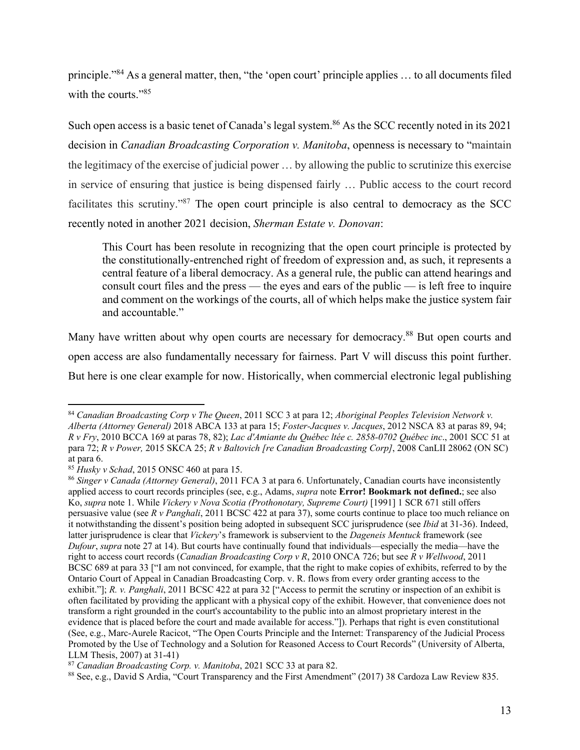principle."84 As a general matter, then, "the 'open court' principle applies … to all documents filed with the courts."<sup>85</sup>

Such open access is a basic tenet of Canada's legal system.<sup>86</sup> As the SCC recently noted in its 2021 decision in *Canadian Broadcasting Corporation v. Manitoba*, openness is necessary to "maintain the legitimacy of the exercise of judicial power … by allowing the public to scrutinize this exercise in service of ensuring that justice is being dispensed fairly … Public access to the court record facilitates this scrutiny."87 The open court principle is also central to democracy as the SCC recently noted in another 2021 decision, *Sherman Estate v. Donovan*:

This Court has been resolute in recognizing that the open court principle is protected by the constitutionally‑entrenched right of freedom of expression and, as such, it represents a central feature of a liberal democracy. As a general rule, the public can attend hearings and consult court files and the press — the eyes and ears of the public — is left free to inquire and comment on the workings of the courts, all of which helps make the justice system fair and accountable."

Many have written about why open courts are necessary for democracy.<sup>88</sup> But open courts and open access are also fundamentally necessary for fairness. Part V will discuss this point further. But here is one clear example for now. Historically, when commercial electronic legal publishing

<sup>84</sup> *Canadian Broadcasting Corp v The Queen*, 2011 SCC 3 at para 12; *Aboriginal Peoples Television Network v. Alberta (Attorney General)* 2018 ABCA 133 at para 15; *Foster-Jacques v. Jacques*, 2012 NSCA 83 at paras 89, 94; *R v Fry*, 2010 BCCA 169 at paras 78, 82); *Lac d'Amiante du Québec ltée c. 2858-0702 Québec inc*., 2001 SCC 51 at para 72; *R v Power,* 2015 SKCA 25; *R v Baltovich [re Canadian Broadcasting Corp]*, 2008 CanLII 28062 (ON SC) at para 6.<br> $^{85}$  Husky v Schad, 2015 ONSC 460 at para 15.

<sup>&</sup>lt;sup>86</sup> Singer v Canada (Attorney General), 2011 FCA 3 at para 6. Unfortunately, Canadian courts have inconsistently applied access to court records principles (see, e.g., Adams, *supra* note **Error! Bookmark not defined.**; see also Ko, *supra* note 1. While *Vickery v Nova Scotia (Prothonotary, Supreme Court)* [1991] 1 SCR 671 still offers persuasive value (see *R v Panghali*, 2011 BCSC 422 at para 37), some courts continue to place too much reliance on it notwithstanding the dissent's position being adopted in subsequent SCC jurisprudence (see *Ibid* at 31-36). Indeed, latter jurisprudence is clear that *Vickery*'s framework is subservient to the *Dageneis Mentuck* framework (see *Dufour*, *supra* note 27 at 14). But courts have continually found that individuals—especially the media—have the right to access court records (*Canadian Broadcasting Corp v R*, 2010 ONCA 726; but see *R v Wellwood*, 2011 BCSC 689 at para 33 ["I am not convinced, for example, that the right to make copies of exhibits, referred to by the Ontario Court of Appeal in Canadian Broadcasting Corp. v. R. flows from every order granting access to the exhibit."]; *R. v. Panghali*, 2011 BCSC 422 at para 32 ["Access to permit the scrutiny or inspection of an exhibit is often facilitated by providing the applicant with a physical copy of the exhibit. However, that convenience does not transform a right grounded in the court's accountability to the public into an almost proprietary interest in the evidence that is placed before the court and made available for access."]). Perhaps that right is even constitutional (See, e.g., Marc-Aurele Racicot, "The Open Courts Principle and the Internet: Transparency of the Judicial Process Promoted by the Use of Technology and a Solution for Reasoned Access to Court Records" (University of Alberta, LLM Thesis, 2007) at 31-41)<br><sup>87</sup> Canadian Broadcasting Corp. v. Manitoba, 2021 SCC 33 at para 82.

<sup>&</sup>lt;sup>88</sup> See, e.g., David S Ardia, "Court Transparency and the First Amendment" (2017) 38 Cardoza Law Review 835.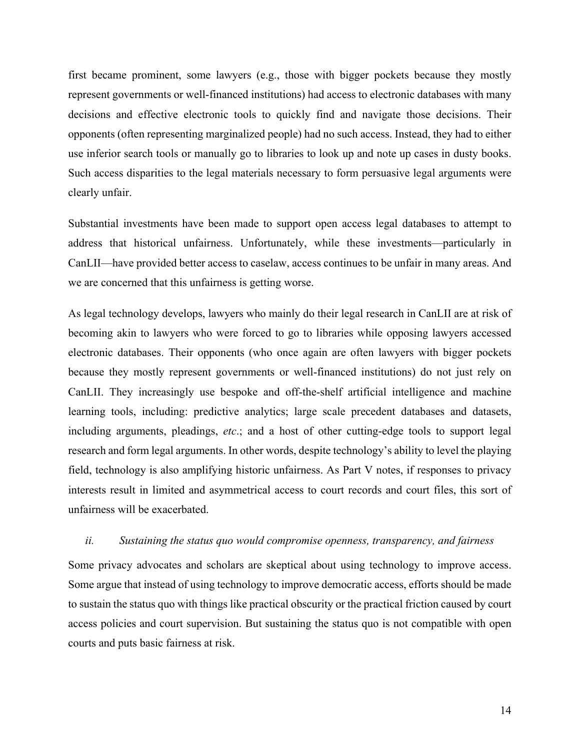first became prominent, some lawyers (e.g., those with bigger pockets because they mostly represent governments or well-financed institutions) had access to electronic databases with many decisions and effective electronic tools to quickly find and navigate those decisions. Their opponents (often representing marginalized people) had no such access. Instead, they had to either use inferior search tools or manually go to libraries to look up and note up cases in dusty books. Such access disparities to the legal materials necessary to form persuasive legal arguments were clearly unfair.

Substantial investments have been made to support open access legal databases to attempt to address that historical unfairness. Unfortunately, while these investments—particularly in CanLII—have provided better access to caselaw, access continues to be unfair in many areas. And we are concerned that this unfairness is getting worse.

As legal technology develops, lawyers who mainly do their legal research in CanLII are at risk of becoming akin to lawyers who were forced to go to libraries while opposing lawyers accessed electronic databases. Their opponents (who once again are often lawyers with bigger pockets because they mostly represent governments or well-financed institutions) do not just rely on CanLII. They increasingly use bespoke and off-the-shelf artificial intelligence and machine learning tools, including: predictive analytics; large scale precedent databases and datasets, including arguments, pleadings, *etc*.; and a host of other cutting-edge tools to support legal research and form legal arguments. In other words, despite technology's ability to level the playing field, technology is also amplifying historic unfairness. As Part V notes, if responses to privacy interests result in limited and asymmetrical access to court records and court files, this sort of unfairness will be exacerbated.

#### *ii. Sustaining the status quo would compromise openness, transparency, and fairness*

Some privacy advocates and scholars are skeptical about using technology to improve access. Some argue that instead of using technology to improve democratic access, efforts should be made to sustain the status quo with things like practical obscurity or the practical friction caused by court access policies and court supervision. But sustaining the status quo is not compatible with open courts and puts basic fairness at risk.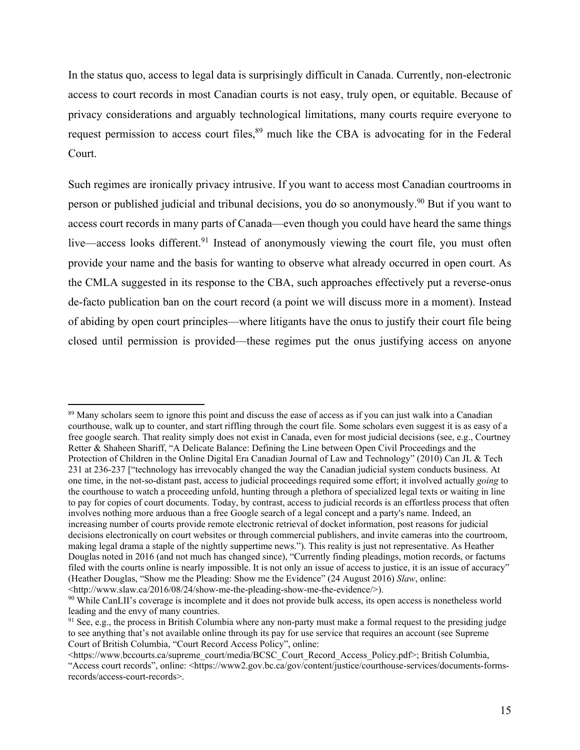In the status quo, access to legal data is surprisingly difficult in Canada. Currently, non-electronic access to court records in most Canadian courts is not easy, truly open, or equitable. Because of privacy considerations and arguably technological limitations, many courts require everyone to request permission to access court files,<sup>89</sup> much like the CBA is advocating for in the Federal Court.

Such regimes are ironically privacy intrusive. If you want to access most Canadian courtrooms in person or published judicial and tribunal decisions, you do so anonymously.<sup>90</sup> But if you want to access court records in many parts of Canada—even though you could have heard the same things live—access looks different.<sup>91</sup> Instead of anonymously viewing the court file, you must often provide your name and the basis for wanting to observe what already occurred in open court. As the CMLA suggested in its response to the CBA, such approaches effectively put a reverse-onus de-facto publication ban on the court record (a point we will discuss more in a moment). Instead of abiding by open court principles—where litigants have the onus to justify their court file being closed until permission is provided—these regimes put the onus justifying access on anyone

<sup>89</sup> Many scholars seem to ignore this point and discuss the ease of access as if you can just walk into a Canadian courthouse, walk up to counter, and start riffling through the court file. Some scholars even suggest it is as easy of a free google search. That reality simply does not exist in Canada, even for most judicial decisions (see, e.g., Courtney Retter & Shaheen Shariff, "A Delicate Balance: Defining the Line between Open Civil Proceedings and the Protection of Children in the Online Digital Era Canadian Journal of Law and Technology" (2010) Can JL & Tech 231 at 236-237 ["technology has irrevocably changed the way the Canadian judicial system conducts business. At one time, in the not-so-distant past, access to judicial proceedings required some effort; it involved actually *going* to the courthouse to watch a proceeding unfold, hunting through a plethora of specialized legal texts or waiting in line to pay for copies of court documents. Today, by contrast, access to judicial records is an effortless process that often involves nothing more arduous than a free Google search of a legal concept and a party's name. Indeed, an increasing number of courts provide remote electronic retrieval of docket information, post reasons for judicial decisions electronically on court websites or through commercial publishers, and invite cameras into the courtroom, making legal drama a staple of the nightly suppertime news."). This reality is just not representative. As Heather Douglas noted in 2016 (and not much has changed since), "Currently finding pleadings, motion records, or factums filed with the courts online is nearly impossible. It is not only an issue of access to justice, it is an issue of accuracy" (Heather Douglas, "Show me the Pleading: Show me the Evidence" (24 August 2016) *Slaw*, online:<br><http://www.slaw.ca/2016/08/24/show-me-the-pleading-show-me-the-evidence/>).

 $\frac{90}{20}$  While CanLII's coverage is incomplete and it does not provide bulk access, its open access is nonetheless world leading and the envy of many countries.<br><sup>91</sup> See, e.g., the process in British Columbia where any non-party must make a formal request to the presiding judge

to see anything that's not available online through its pay for use service that requires an account (see Supreme Court of British Columbia, "Court Record Access Policy", online:

<sup>&</sup>lt;https://www.bccourts.ca/supreme\_court/media/BCSC\_Court\_Record\_Access\_Policy.pdf>; British Columbia, "Access court records", online: <https://www2.gov.bc.ca/gov/content/justice/courthouse-services/documents-formsrecords/access-court-records>.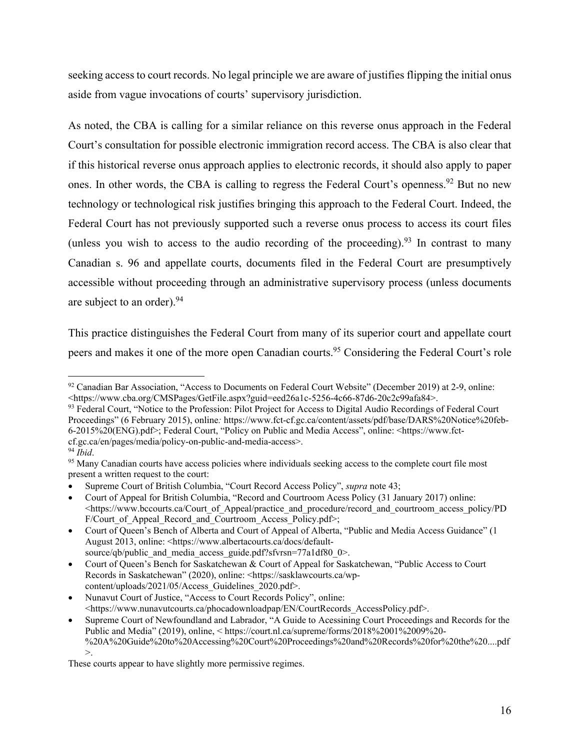seeking access to court records. No legal principle we are aware of justifies flipping the initial onus aside from vague invocations of courts' supervisory jurisdiction.

As noted, the CBA is calling for a similar reliance on this reverse onus approach in the Federal Court's consultation for possible electronic immigration record access. The CBA is also clear that if this historical reverse onus approach applies to electronic records, it should also apply to paper ones. In other words, the CBA is calling to regress the Federal Court's openness.<sup>92</sup> But no new technology or technological risk justifies bringing this approach to the Federal Court. Indeed, the Federal Court has not previously supported such a reverse onus process to access its court files (unless you wish to access to the audio recording of the proceeding). <sup>93</sup> In contrast to many Canadian s. 96 and appellate courts, documents filed in the Federal Court are presumptively accessible without proceeding through an administrative supervisory process (unless documents are subject to an order).<sup>94</sup>

This practice distinguishes the Federal Court from many of its superior court and appellate court peers and makes it one of the more open Canadian courts.<sup>95</sup> Considering the Federal Court's role

<sup>92</sup> Canadian Bar Association, "Access to Documents on Federal Court Website" (December 2019) at 2-9, online: <https://www.cba.org/CMSPages/GetFile.aspx?guid=eed26a1c-5256-4c66-87d6-20c2c99afa84>. 93 Federal Court, "Notice to the Profession: Pilot Project for Access to Digital Audio Recordings of Federal Court

Proceedings" (6 February 2015), online*:* https://www.fct-cf.gc.ca/content/assets/pdf/base/DARS%20Notice%20feb-6-2015%20(ENG).pdf>; Federal Court, "Policy on Public and Media Access", online: <https://www.fctcf.gc.ca/en/pages/media/policy-on-public-and-media-access>. 94 *Ibid*. 95 Many Canadian courts have access policies where individuals seeking access to the complete court file most

present a written request to the court:

Supreme Court of British Columbia, "Court Record Access Policy", *supra* note 43;

Court of Appeal for British Columbia, "Record and Courtroom Acess Policy (31 January 2017) online: <https://www.bccourts.ca/Court\_of\_Appeal/practice\_and\_procedure/record\_and\_courtroom\_access\_policy/PD F/Court of Appeal Record and Courtroom Access Policy.pdf>;

Court of Queen's Bench of Alberta and Court of Appeal of Alberta, "Public and Media Access Guidance" (1 August 2013, online: <https://www.albertacourts.ca/docs/defaultsource/qb/public and media access guide.pdf?sfvrsn=77a1df80 0>.

Court of Queen's Bench for Saskatchewan & Court of Appeal for Saskatchewan, "Public Access to Court Records in Saskatchewan" (2020), online: <https://sasklawcourts.ca/wpcontent/uploads/2021/05/Access\_Guidelines\_2020.pdf>.

Nunavut Court of Justice, "Access to Court Records Policy", online: <https://www.nunavutcourts.ca/phocadownloadpap/EN/CourtRecords\_AccessPolicy.pdf>.

Supreme Court of Newfoundland and Labrador, "A Guide to Acessining Court Proceedings and Records for the Public and Media" (2019), online, < https://court.nl.ca/supreme/forms/2018%2001%2009%20- %20A%20Guide%20to%20Accessing%20Court%20Proceedings%20and%20Records%20for%20the%20....pdf >.

These courts appear to have slightly more permissive regimes.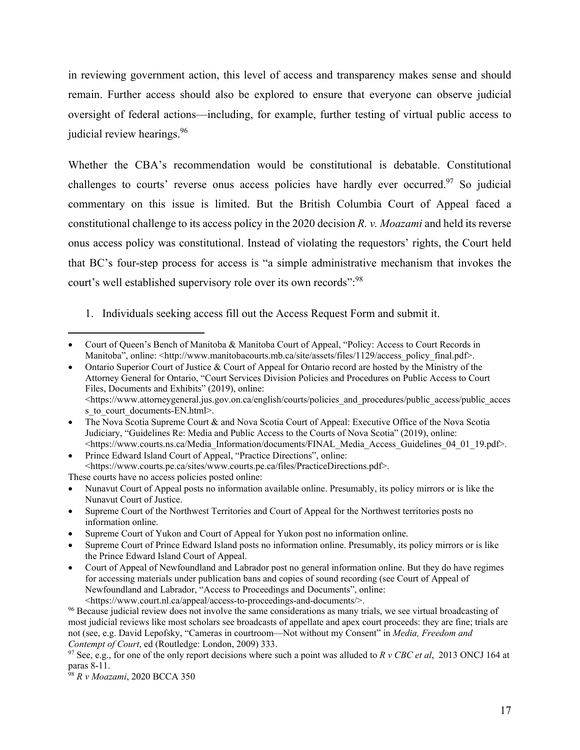in reviewing government action, this level of access and transparency makes sense and should remain. Further access should also be explored to ensure that everyone can observe judicial oversight of federal actions—including, for example, further testing of virtual public access to judicial review hearings.<sup>96</sup>

Whether the CBA's recommendation would be constitutional is debatable. Constitutional challenges to courts' reverse onus access policies have hardly ever occurred.<sup>97</sup> So judicial commentary on this issue is limited. But the British Columbia Court of Appeal faced a constitutional challenge to its access policy in the 2020 decision *R. v. Moazami* and held its reverse onus access policy was constitutional. Instead of violating the requestors' rights, the Court held that BC's four-step process for access is "a simple administrative mechanism that invokes the court's well established supervisory role over its own records":<sup>98</sup>

1. Individuals seeking access fill out the Access Request Form and submit it.

Court of Queen's Bench of Manitoba & Manitoba Court of Appeal, "Policy: Access to Court Records in Manitoba", online: <http://www.manitobacourts.mb.ca/site/assets/files/1129/access\_policy\_final.pdf>.

Ontario Superior Court of Justice & Court of Appeal for Ontario record are hosted by the Ministry of the Attorney General for Ontario, "Court Services Division Policies and Procedures on Public Access to Court Files, Documents and Exhibits" (2019), online:  $\langle$ https://www.attorneygeneral.jus.gov.on.ca/english/courts/policies and procedures/public access/public access s to court documents-EN.html>.

The Nova Scotia Supreme Court & and Nova Scotia Court of Appeal: Executive Office of the Nova Scotia Judiciary, "Guidelines Re: Media and Public Access to the Courts of Nova Scotia" (2019), online: <https://www.courts.ns.ca/Media\_Information/documents/FINAL\_Media\_Access\_Guidelines\_04\_01\_19.pdf>.

<sup>•</sup> Prince Edward Island Court of Appeal, "Practice Directions", online: <https://www.courts.pe.ca/sites/www.courts.pe.ca/files/PracticeDirections.pdf>. These courts have no access policies posted online:

Nunavut Court of Appeal posts no information available online. Presumably, its policy mirrors or is like the Nunavut Court of Justice.

Supreme Court of the Northwest Territories and Court of Appeal for the Northwest territories posts no information online.

Supreme Court of Yukon and Court of Appeal for Yukon post no information online.

Supreme Court of Prince Edward Island posts no information online. Presumably, its policy mirrors or is like the Prince Edward Island Court of Appeal.

Court of Appeal of Newfoundland and Labrador post no general information online. But they do have regimes for accessing materials under publication bans and copies of sound recording (see Court of Appeal of Newfoundland and Labrador, "Access to Proceedings and Documents", online: <https://www.court.nl.ca/appeal/access-to-proceedings-and-documents/>.

<sup>&</sup>lt;sup>96</sup> Because judicial review does not involve the same considerations as many trials, we see virtual broadcasting of most judicial reviews like most scholars see broadcasts of appellate and apex court proceeds: they are fine; trials are not (see, e.g. David Lepofsky, "Cameras in courtroom—Not without my Consent" in *Media, Freedom and Contempt of Court*, ed (Routledge: London, 2009) 333.<br><sup>97</sup> See, e.g., for one of the only report decisions where such a point was alluded to *R v CBC et al*, 2013 ONCJ 164 at

paras 8-11.

<sup>98</sup> *R v Moazami*, 2020 BCCA 350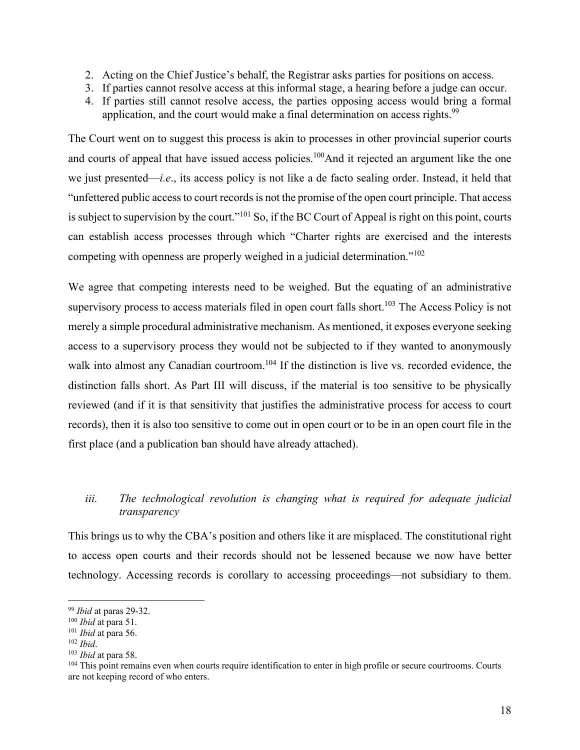- 2. Acting on the Chief Justice's behalf, the Registrar asks parties for positions on access.
- 3. If parties cannot resolve access at this informal stage, a hearing before a judge can occur.
- 4. If parties still cannot resolve access, the parties opposing access would bring a formal application, and the court would make a final determination on access rights.<sup>99</sup>

The Court went on to suggest this process is akin to processes in other provincial superior courts and courts of appeal that have issued access policies.<sup>100</sup>And it rejected an argument like the one we just presented—*i.e*., its access policy is not like a de facto sealing order. Instead, it held that "unfettered public access to court records is not the promise of the open court principle. That access is subject to supervision by the court."101 So, if the BC Court of Appeal is right on this point, courts can establish access processes through which "Charter rights are exercised and the interests competing with openness are properly weighed in a judicial determination."102

We agree that competing interests need to be weighed. But the equating of an administrative supervisory process to access materials filed in open court falls short.<sup>103</sup> The Access Policy is not merely a simple procedural administrative mechanism. As mentioned, it exposes everyone seeking access to a supervisory process they would not be subjected to if they wanted to anonymously walk into almost any Canadian courtroom.<sup>104</sup> If the distinction is live vs. recorded evidence, the distinction falls short. As Part III will discuss, if the material is too sensitive to be physically reviewed (and if it is that sensitivity that justifies the administrative process for access to court records), then it is also too sensitive to come out in open court or to be in an open court file in the first place (and a publication ban should have already attached).

## *iii. The technological revolution is changing what is required for adequate judicial transparency*

This brings us to why the CBA's position and others like it are misplaced. The constitutional right to access open courts and their records should not be lessened because we now have better technology. Accessing records is corollary to accessing proceedings—not subsidiary to them.

<sup>&</sup>lt;sup>99</sup> *Ibid* at paras 29-32.<br><sup>100</sup> *Ibid* at para 51.<br><sup>101</sup> *Ibid* at para 56.<br><sup>102</sup> *Ibid*.<br><sup>103</sup> *Ibid* at para 58.<br><sup>103</sup> *Ibid* at para 58.<br><sup>103</sup> *Ibid* at para 58. are not keeping record of who enters.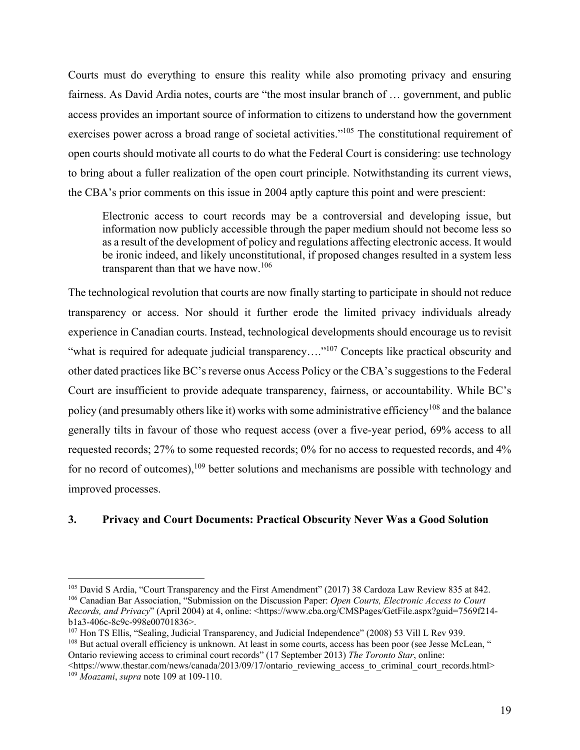Courts must do everything to ensure this reality while also promoting privacy and ensuring fairness. As David Ardia notes, courts are "the most insular branch of … government, and public access provides an important source of information to citizens to understand how the government exercises power across a broad range of societal activities."<sup>105</sup> The constitutional requirement of open courts should motivate all courts to do what the Federal Court is considering: use technology to bring about a fuller realization of the open court principle. Notwithstanding its current views, the CBA's prior comments on this issue in 2004 aptly capture this point and were prescient:

Electronic access to court records may be a controversial and developing issue, but information now publicly accessible through the paper medium should not become less so as a result of the development of policy and regulations affecting electronic access. It would be ironic indeed, and likely unconstitutional, if proposed changes resulted in a system less transparent than that we have now.<sup>106</sup>

The technological revolution that courts are now finally starting to participate in should not reduce transparency or access. Nor should it further erode the limited privacy individuals already experience in Canadian courts. Instead, technological developments should encourage us to revisit "what is required for adequate judicial transparency...."<sup>107</sup> Concepts like practical obscurity and other dated practices like BC's reverse onus Access Policy or the CBA's suggestions to the Federal Court are insufficient to provide adequate transparency, fairness, or accountability. While BC's policy (and presumably others like it) works with some administrative efficiency<sup>108</sup> and the balance generally tilts in favour of those who request access (over a five-year period, 69% access to all requested records; 27% to some requested records; 0% for no access to requested records, and 4% for no record of outcomes),<sup>109</sup> better solutions and mechanisms are possible with technology and improved processes.

#### **3. Privacy and Court Documents: Practical Obscurity Never Was a Good Solution**

<sup>108</sup> But actual overall efficiency is unknown. At least in some courts, access has been poor (see Jesse McLean, "

Ontario reviewing access to criminal court records" (17 September 2013) *The Toronto Star*, online:

<https://www.thestar.com/news/canada/2013/09/17/ontario\_reviewing\_access\_to\_criminal\_court\_records.html> 109 *Moazami*, *supra* note 109 at 109-110.

<sup>105</sup> David S Ardia, "Court Transparency and the First Amendment" (2017) 38 Cardoza Law Review 835 at 842. 106 Canadian Bar Association, "Submission on the Discussion Paper: *Open Courts, Electronic Access to Court Records, and Privacy*" (April 2004) at 4, online: <https://www.cba.org/CMSPages/GetFile.aspx?guid=7569f214b1a3-406c-8c9c-998e00701836>.<br><sup>107</sup> Hon TS Ellis, "Sealing, Judicial Transparency, and Judicial Independence" (2008) 53 Vill L Rev 939.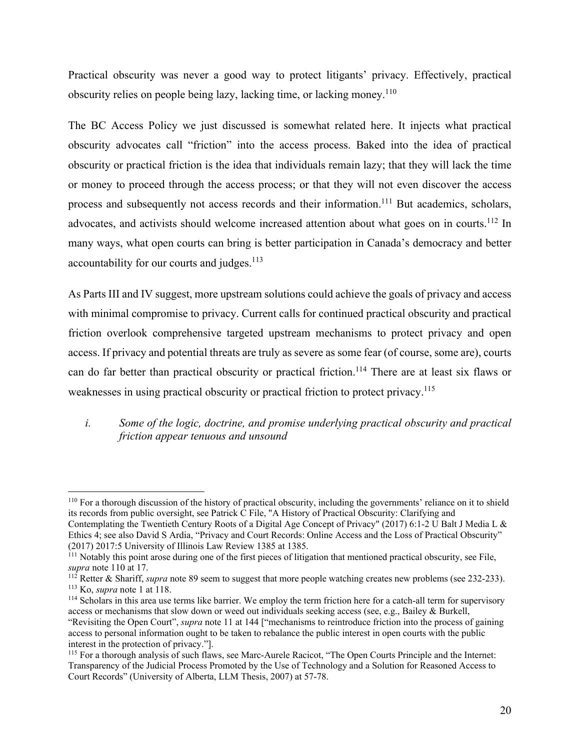Practical obscurity was never a good way to protect litigants' privacy. Effectively, practical obscurity relies on people being lazy, lacking time, or lacking money.<sup>110</sup>

The BC Access Policy we just discussed is somewhat related here. It injects what practical obscurity advocates call "friction" into the access process. Baked into the idea of practical obscurity or practical friction is the idea that individuals remain lazy; that they will lack the time or money to proceed through the access process; or that they will not even discover the access process and subsequently not access records and their information.<sup>111</sup> But academics, scholars, advocates, and activists should welcome increased attention about what goes on in courts.<sup>112</sup> In many ways, what open courts can bring is better participation in Canada's democracy and better accountability for our courts and judges.<sup>113</sup>

As Parts III and IV suggest, more upstream solutions could achieve the goals of privacy and access with minimal compromise to privacy. Current calls for continued practical obscurity and practical friction overlook comprehensive targeted upstream mechanisms to protect privacy and open access. If privacy and potential threats are truly as severe as some fear (of course, some are), courts can do far better than practical obscurity or practical friction.<sup>114</sup> There are at least six flaws or weaknesses in using practical obscurity or practical friction to protect privacy.<sup>115</sup>

## *i. Some of the logic, doctrine, and promise underlying practical obscurity and practical friction appear tenuous and unsound*

<sup>110</sup> For a thorough discussion of the history of practical obscurity, including the governments' reliance on it to shield its records from public oversight, see Patrick C File, "A History of Practical Obscurity: Clarifying and Contemplating the Twentieth Century Roots of a Digital Age Concept of Privacy" (2017) 6:1-2 U Balt J Media L & Ethics 4; see also David S Ardia, "Privacy and Court Records: Online Access and the Loss of Practical Obscurity" (2017) 2017:5 University of Illinois Law Review 1385 at 1385.

 $111$  Notably this point arose during one of the first pieces of litigation that mentioned practical obscurity, see File, supra note 110 at 17.

<sup>&</sup>lt;sup>112</sup> Retter & Shariff, *supra* note 89 seem to suggest that more people watching creates new problems (see 232-233).<br><sup>113</sup> Ko, *supra* note 1 at 118.<br><sup>114</sup> Scholars in this area use terms like barrier. We employ the term

access or mechanisms that slow down or weed out individuals seeking access (see, e.g., Bailey & Burkell, "Revisiting the Open Court", *supra* note 11 at 144 ["mechanisms to reintroduce friction into the process of gaining access to personal information ought to be taken to rebalance the public interest in open courts with the public interest in the protection of privacy."].

<sup>115</sup> For a thorough analysis of such flaws, see Marc-Aurele Racicot, "The Open Courts Principle and the Internet: Transparency of the Judicial Process Promoted by the Use of Technology and a Solution for Reasoned Access to Court Records" (University of Alberta, LLM Thesis, 2007) at 57-78.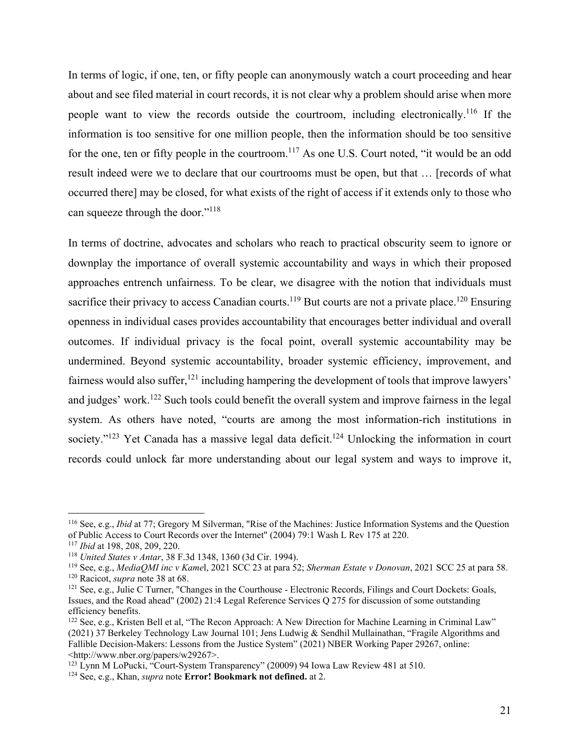In terms of logic, if one, ten, or fifty people can anonymously watch a court proceeding and hear about and see filed material in court records, it is not clear why a problem should arise when more people want to view the records outside the courtroom, including electronically.<sup>116</sup> If the information is too sensitive for one million people, then the information should be too sensitive for the one, ten or fifty people in the courtroom.<sup>117</sup> As one U.S. Court noted, "it would be an odd result indeed were we to declare that our courtrooms must be open, but that … [records of what occurred there] may be closed, for what exists of the right of access if it extends only to those who can squeeze through the door."<sup>118</sup>

In terms of doctrine, advocates and scholars who reach to practical obscurity seem to ignore or downplay the importance of overall systemic accountability and ways in which their proposed approaches entrench unfairness. To be clear, we disagree with the notion that individuals must sacrifice their privacy to access Canadian courts.<sup>119</sup> But courts are not a private place.<sup>120</sup> Ensuring openness in individual cases provides accountability that encourages better individual and overall outcomes. If individual privacy is the focal point, overall systemic accountability may be undermined. Beyond systemic accountability, broader systemic efficiency, improvement, and fairness would also suffer,  $^{121}$  including hampering the development of tools that improve lawyers' and judges' work.<sup>122</sup> Such tools could benefit the overall system and improve fairness in the legal system. As others have noted, "courts are among the most information-rich institutions in society."<sup>123</sup> Yet Canada has a massive legal data deficit.<sup>124</sup> Unlocking the information in court records could unlock far more understanding about our legal system and ways to improve it,

<sup>116</sup> See, e.g., *Ibid* at 77; Gregory M Silverman, "Rise of the Machines: Justice Information Systems and the Question of Public Access to Court Records over the Internet" (2004) 79:1 Wash L Rev 175 at 220.

<sup>&</sup>lt;sup>117</sup> Ibid at 198, 208, 209, 220.<br><sup>118</sup> United States v Antar, 38 F.3d 1348, 1360 (3d Cir. 1994).<br><sup>119</sup> See, e.g., *MediaQMI inc v Kamel*, 2021 SCC 23 at para 52; *Sherman Estate v Donovan*, 2021 SCC 25 at para 58.<br><sup>120</sup>

Issues, and the Road ahead" (2002) 21:4 Legal Reference Services Q 275 for discussion of some outstanding efficiency benefits.

<sup>&</sup>lt;sup>122</sup> See, e.g., Kristen Bell et al, "The Recon Approach: A New Direction for Machine Learning in Criminal Law" (2021) 37 Berkeley Technology Law Journal 101; Jens Ludwig & Sendhil Mullainathan, "Fragile Algorithms and Fallible Decision-Makers: Lessons from the Justice System" (2021) NBER Working Paper 29267, online: <http://www.nber.org/papers/w29267>.

<sup>123</sup> Lynn M LoPucki, "Court-System Transparency" (20009) 94 Iowa Law Review 481 at 510. 124 See, e.g., Khan, *supra* note **Error! Bookmark not defined.** at 2.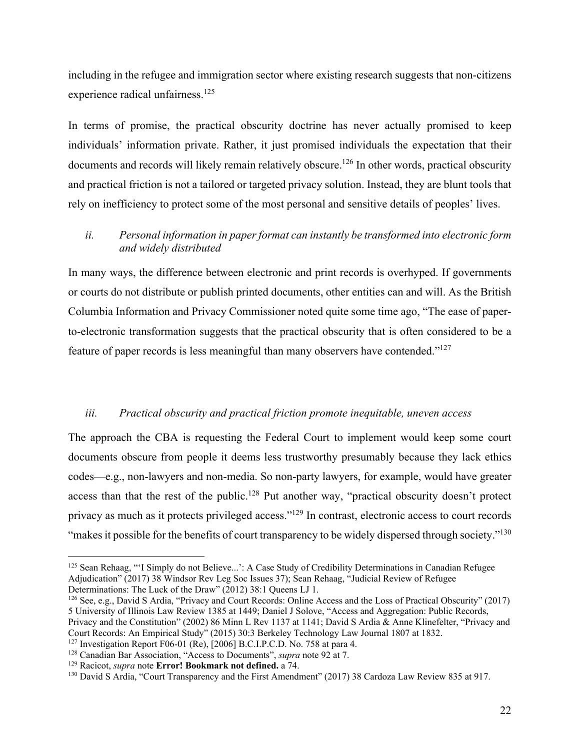including in the refugee and immigration sector where existing research suggests that non-citizens experience radical unfairness.<sup>125</sup>

In terms of promise, the practical obscurity doctrine has never actually promised to keep individuals' information private. Rather, it just promised individuals the expectation that their documents and records will likely remain relatively obscure.<sup>126</sup> In other words, practical obscurity and practical friction is not a tailored or targeted privacy solution. Instead, they are blunt tools that rely on inefficiency to protect some of the most personal and sensitive details of peoples' lives.

## *ii. Personal information in paper format can instantly be transformed into electronic form and widely distributed*

In many ways, the difference between electronic and print records is overhyped. If governments or courts do not distribute or publish printed documents, other entities can and will. As the British Columbia Information and Privacy Commissioner noted quite some time ago, "The ease of paperto-electronic transformation suggests that the practical obscurity that is often considered to be a feature of paper records is less meaningful than many observers have contended."127

#### *iii. Practical obscurity and practical friction promote inequitable, uneven access*

The approach the CBA is requesting the Federal Court to implement would keep some court documents obscure from people it deems less trustworthy presumably because they lack ethics codes—e.g., non-lawyers and non-media. So non-party lawyers, for example, would have greater access than that the rest of the public.<sup>128</sup> Put another way, "practical obscurity doesn't protect privacy as much as it protects privileged access."129 In contrast, electronic access to court records "makes it possible for the benefits of court transparency to be widely dispersed through society."<sup>130</sup>

<sup>126</sup> See, e.g., David S Ardia, "Privacy and Court Records: Online Access and the Loss of Practical Obscurity" (2017) 5 University of Illinois Law Review 1385 at 1449; Daniel J Solove, "Access and Aggregation: Public Records, Privacy and the Constitution" (2002) 86 Minn L Rev 1137 at 1141; David S Ardia & Anne Klinefelter, "Privacy and

<sup>&</sup>lt;sup>125</sup> Sean Rehaag, "'I Simply do not Believe...': A Case Study of Credibility Determinations in Canadian Refugee Adjudication" (2017) 38 Windsor Rev Leg Soc Issues 37); Sean Rehaag, "Judicial Review of Refugee<br>Determinations: The Luck of the Draw" (2012) 38:1 Queens LJ 1.

Court Records: An Empirical Study" (2015) 30:3 Berkeley Technology Law Journal 1807 at 1832.<br><sup>127</sup> Investigation Report F06-01 (Re), [2006] B.C.I.P.C.D. No. 758 at para 4.

<sup>&</sup>lt;sup>128</sup> Canadian Bar Association, "Access to Documents", *supra* note 92 at 7.<br><sup>129</sup> Racicot, *supra* note **Error! Bookmark not defined.** a 74.<br><sup>130</sup> David S Ardia, "Court Transparency and the First Amendment" (2017) 38 Car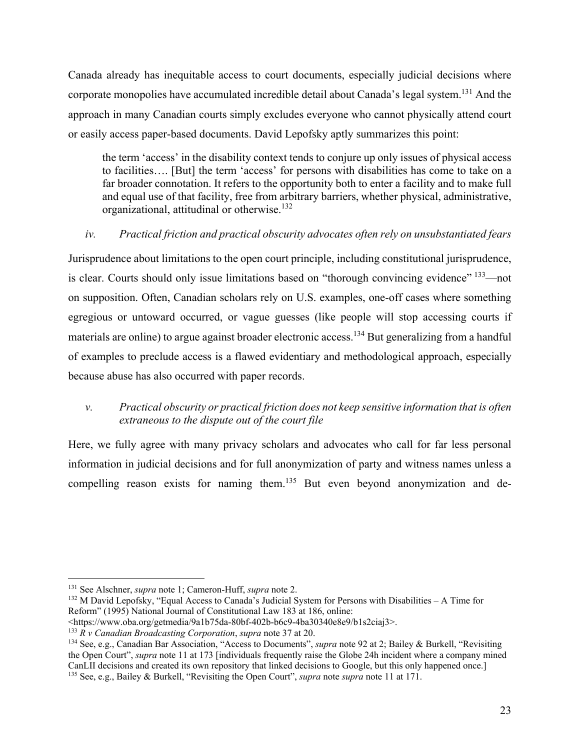Canada already has inequitable access to court documents, especially judicial decisions where corporate monopolies have accumulated incredible detail about Canada's legal system.<sup>131</sup> And the approach in many Canadian courts simply excludes everyone who cannot physically attend court or easily access paper-based documents. David Lepofsky aptly summarizes this point:

the term 'access' in the disability context tends to conjure up only issues of physical access to facilities…. [But] the term 'access' for persons with disabilities has come to take on a far broader connotation. It refers to the opportunity both to enter a facility and to make full and equal use of that facility, free from arbitrary barriers, whether physical, administrative, organizational, attitudinal or otherwise.132

## *iv. Practical friction and practical obscurity advocates often rely on unsubstantiated fears*

Jurisprudence about limitations to the open court principle, including constitutional jurisprudence, is clear. Courts should only issue limitations based on "thorough convincing evidence"  $\frac{133}{13}$  not on supposition. Often, Canadian scholars rely on U.S. examples, one-off cases where something egregious or untoward occurred, or vague guesses (like people will stop accessing courts if materials are online) to argue against broader electronic access.<sup>134</sup> But generalizing from a handful of examples to preclude access is a flawed evidentiary and methodological approach, especially because abuse has also occurred with paper records.

## *v. Practical obscurity or practical friction does not keep sensitive information that is often extraneous to the dispute out of the court file*

Here, we fully agree with many privacy scholars and advocates who call for far less personal information in judicial decisions and for full anonymization of party and witness names unless a compelling reason exists for naming them.<sup>135</sup> But even beyond anonymization and de-

<sup>&</sup>lt;sup>131</sup> See Alschner, *supra* note 1; Cameron-Huff, *supra* note 2.<br><sup>132</sup> M David Lepofsky, "Equal Access to Canada's Judicial System for Persons with Disabilities – A Time for Reform" (1995) National Journal of Constitutional Law 183 at 186, online:

<sup>&</sup>lt;https://www.oba.org/getmedia/9a1b75da-80bf-402b-b6c9-4ba30340e8e9/b1s2ciaj3>.<br><sup>133</sup> R v Canadian Broadcasting Corporation, supra note 37 at 20.<br><sup>134</sup> See, e.g., Canadian Bar Association, "Access to Documents", *supra* not the Open Court", *supra* note 11 at 173 [individuals frequently raise the Globe 24h incident where a company mined CanLII decisions and created its own repository that linked decisions to Google, but this only happened once.] 135 See, e.g., Bailey & Burkell, "Revisiting the Open Court", *supra* note *supra* note 11 at 171.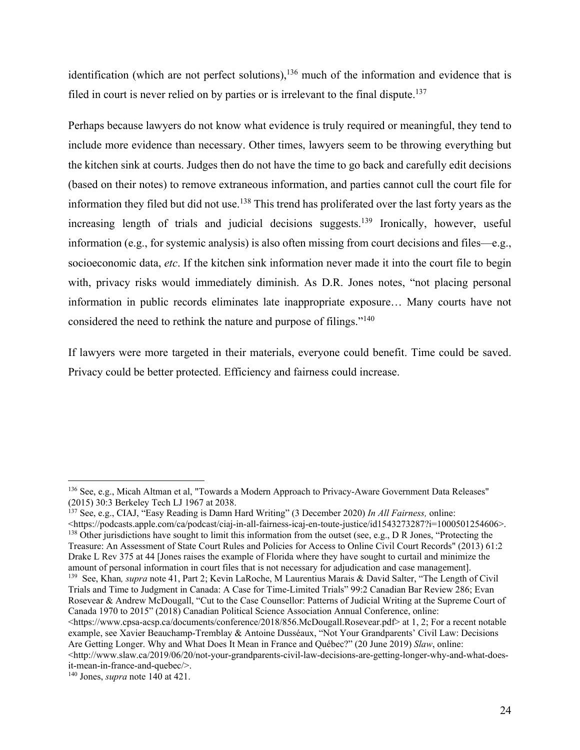identification (which are not perfect solutions),<sup>136</sup> much of the information and evidence that is filed in court is never relied on by parties or is irrelevant to the final dispute.<sup>137</sup>

Perhaps because lawyers do not know what evidence is truly required or meaningful, they tend to include more evidence than necessary. Other times, lawyers seem to be throwing everything but the kitchen sink at courts. Judges then do not have the time to go back and carefully edit decisions (based on their notes) to remove extraneous information, and parties cannot cull the court file for information they filed but did not use.<sup>138</sup> This trend has proliferated over the last forty years as the increasing length of trials and judicial decisions suggests.<sup>139</sup> Ironically, however, useful information (e.g., for systemic analysis) is also often missing from court decisions and files—e.g., socioeconomic data, *etc*. If the kitchen sink information never made it into the court file to begin with, privacy risks would immediately diminish. As D.R. Jones notes, "not placing personal information in public records eliminates late inappropriate exposure… Many courts have not considered the need to rethink the nature and purpose of filings."<sup>140</sup>

If lawyers were more targeted in their materials, everyone could benefit. Time could be saved. Privacy could be better protected. Efficiency and fairness could increase.

137 See, e.g., CIAJ, "Easy Reading is Damn Hard Writing" (3 December 2020) *In All Fairness,* online: <https://podcasts.apple.com/ca/podcast/ciaj-in-all-fairness-icaj-en-toute-justice/id1543273287?i=1000501254606>.<br><sup>138</sup> Other jurisdictions have sought to limit this information from the outset (see, e.g., D R Jones, "Prote Treasure: An Assessment of State Court Rules and Policies for Access to Online Civil Court Records" (2013) 61:2 Drake L Rev 375 at 44 [Jones raises the example of Florida where they have sought to curtail and minimize the amount of personal information in court files that is not necessary for adjudication and case management]. 139 See, Khan*, supra* note 41, Part 2; Kevin LaRoche, M Laurentius Marais & David Salter, "The Length of Civil

Trials and Time to Judgment in Canada: A Case for Time-Limited Trials" 99:2 Canadian Bar Review 286; Evan Rosevear & Andrew McDougall, "Cut to the Case Counsellor: Patterns of Judicial Writing at the Supreme Court of Canada 1970 to 2015" (2018) Canadian Political Science Association Annual Conference, online: <https://www.cpsa-acsp.ca/documents/conference/2018/856.McDougall.Rosevear.pdf> at 1, 2; For a recent notable example, see Xavier Beauchamp-Tremblay & Antoine Dusséaux, "Not Your Grandparents' Civil Law: Decisions Are Getting Longer. Why and What Does It Mean in France and Québec?" (20 June 2019) *Slaw*, online:  $\lt$ http://www.slaw.ca/2019/06/20/not-your-grandparents-civil-law-decisions-are-getting-longer-why-and-what-doesit-mean-in-france-and-quebec/>.

<sup>136</sup> See, e.g., Micah Altman et al, "Towards a Modern Approach to Privacy-Aware Government Data Releases" (2015) 30:3 Berkeley Tech LJ 1967 at 2038.

<sup>140</sup> Jones, *supra* note 140 at 421.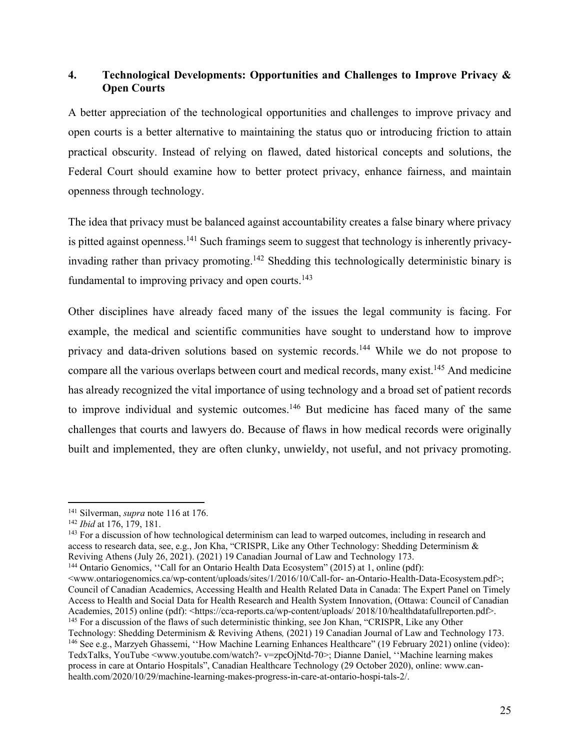## **4. Technological Developments: Opportunities and Challenges to Improve Privacy & Open Courts**

A better appreciation of the technological opportunities and challenges to improve privacy and open courts is a better alternative to maintaining the status quo or introducing friction to attain practical obscurity. Instead of relying on flawed, dated historical concepts and solutions, the Federal Court should examine how to better protect privacy, enhance fairness, and maintain openness through technology.

The idea that privacy must be balanced against accountability creates a false binary where privacy is pitted against openness.<sup>141</sup> Such framings seem to suggest that technology is inherently privacyinvading rather than privacy promoting.142 Shedding this technologically deterministic binary is fundamental to improving privacy and open courts.<sup>143</sup>

Other disciplines have already faced many of the issues the legal community is facing. For example, the medical and scientific communities have sought to understand how to improve privacy and data-driven solutions based on systemic records.144 While we do not propose to compare all the various overlaps between court and medical records, many exist.145 And medicine has already recognized the vital importance of using technology and a broad set of patient records to improve individual and systemic outcomes.<sup>146</sup> But medicine has faced many of the same challenges that courts and lawyers do. Because of flaws in how medical records were originally built and implemented, they are often clunky, unwieldy, not useful, and not privacy promoting.

<sup>141</sup> Silverman, *supra* note 116 at 176.<br><sup>142</sup> *Ibid* at 176, 179, 181.<br><sup>143</sup> For a discussion of how technological determinism can lead to warped outcomes, including in research and access to research data, see, e.g., Jon Kha, "CRISPR, Like any Other Technology: Shedding Determinism & Reviving Athens (July 26, 2021). (2021) 19 Canadian Journal of Law and Technology 173.

<www.ontariogenomics.ca/wp-content/uploads/sites/1/2016/10/Call-for- an-Ontario-Health-Data-Ecosystem.pdf>; Council of Canadian Academics, Accessing Health and Health Related Data in Canada: The Expert Panel on Timely Access to Health and Social Data for Health Research and Health System Innovation, (Ottawa: Council of Canadian Academies, 2015) online (pdf): <https://cca-reports.ca/wp-content/uploads/ 2018/10/healthdatafullreporten.pdf>.<br><sup>145</sup> For a discussion of the flaws of such deterministic thinking, see Jon Khan, "CRISPR, Like any Other Technology: Shedding Determinism & Reviving Athens, (2021) 19 Canadian Journal of Law and Technology 173.<br><sup>146</sup> See e.g., Marzyeh Ghassemi, "How Machine Learning Enhances Healthcare" (19 February 2021) online (video): TedxTalks, YouTube <www.youtube.com/watch?- v=zpcOjNtd-70>; Dianne Daniel, ''Machine learning makes process in care at Ontario Hospitals", Canadian Healthcare Technology (29 October 2020), online: www.canhealth.com/2020/10/29/machine-learning-makes-progress-in-care-at-ontario-hospi-tals-2/.

<sup>&</sup>lt;sup>144</sup> Ontario Genomics, "Call for an Ontario Health Data Ecosystem" (2015) at 1, online (pdf):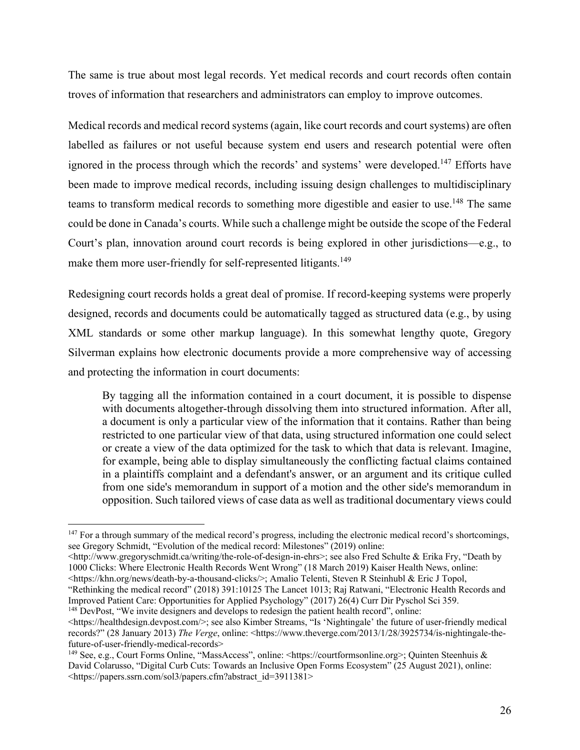The same is true about most legal records. Yet medical records and court records often contain troves of information that researchers and administrators can employ to improve outcomes.

Medical records and medical record systems (again, like court records and court systems) are often labelled as failures or not useful because system end users and research potential were often ignored in the process through which the records' and systems' were developed.<sup>147</sup> Efforts have been made to improve medical records, including issuing design challenges to multidisciplinary teams to transform medical records to something more digestible and easier to use.<sup>148</sup> The same could be done in Canada's courts. While such a challenge might be outside the scope of the Federal Court's plan, innovation around court records is being explored in other jurisdictions—e.g., to make them more user-friendly for self-represented litigants.<sup>149</sup>

Redesigning court records holds a great deal of promise. If record-keeping systems were properly designed, records and documents could be automatically tagged as structured data (e.g., by using XML standards or some other markup language). In this somewhat lengthy quote, Gregory Silverman explains how electronic documents provide a more comprehensive way of accessing and protecting the information in court documents:

By tagging all the information contained in a court document, it is possible to dispense with documents altogether-through dissolving them into structured information. After all, a document is only a particular view of the information that it contains. Rather than being restricted to one particular view of that data, using structured information one could select or create a view of the data optimized for the task to which that data is relevant. Imagine, for example, being able to display simultaneously the conflicting factual claims contained in a plaintiffs complaint and a defendant's answer, or an argument and its critique culled from one side's memorandum in support of a motion and the other side's memorandum in opposition. Such tailored views of case data as well as traditional documentary views could

"Rethinking the medical record" (2018) 391:10125 The Lancet 1013; Raj Ratwani, "Electronic Health Records and Improved Patient Care: Opportunities for Applied Psychology" (2017) 26(4) Curr Dir Pyschol Sci 359. <sup>148</sup> DevPost, "We invite designers and develops to redesign the patient health record", online:

<https://healthdesign.devpost.com/>; see also Kimber Streams, "Is 'Nightingale' the future of user-friendly medical

<sup>&</sup>lt;sup>147</sup> For a through summary of the medical record's progress, including the electronic medical record's shortcomings, see Gregory Schmidt, "Evolution of the medical record: Milestones" (2019) online:

 $\langle$ http://www.gregoryschmidt.ca/writing/the-role-of-design-in-ehrs>; see also Fred Schulte & Erika Fry, "Death by 1000 Clicks: Where Electronic Health Records Went Wrong" (18 March 2019) Kaiser Health News, online: <https://khn.org/news/death-by-a-thousand-clicks/>; Amalio Telenti, Steven R Steinhubl & Eric J Topol,

records?" (28 January 2013) *The Verge*, online: <https://www.theverge.com/2013/1/28/3925734/is-nightingale-thefuture-of-user-friendly-medical-records>

<sup>149</sup> See, e.g., Court Forms Online, "MassAccess", online: <https://courtformsonline.org>; Quinten Steenhuis & David Colarusso, "Digital Curb Cuts: Towards an Inclusive Open Forms Ecosystem" (25 August 2021), online: <https://papers.ssrn.com/sol3/papers.cfm?abstract\_id=3911381>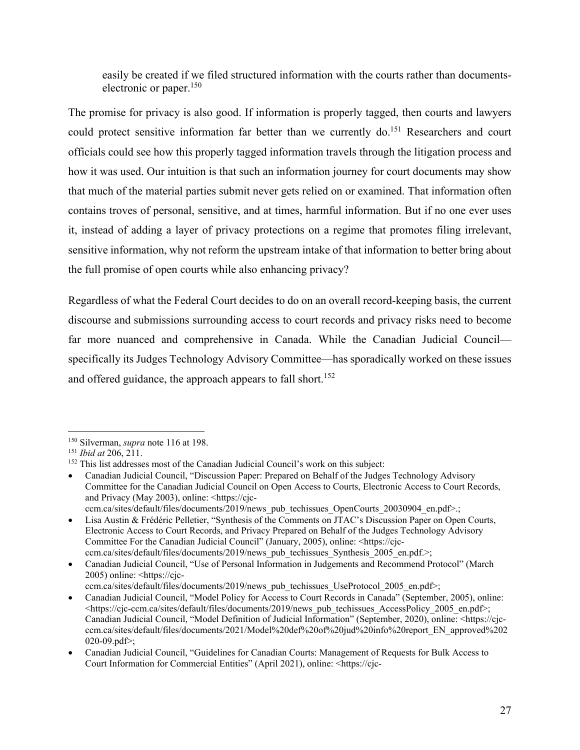easily be created if we filed structured information with the courts rather than documentselectronic or paper.<sup>150</sup>

The promise for privacy is also good. If information is properly tagged, then courts and lawyers could protect sensitive information far better than we currently do.<sup>151</sup> Researchers and court officials could see how this properly tagged information travels through the litigation process and how it was used. Our intuition is that such an information journey for court documents may show that much of the material parties submit never gets relied on or examined. That information often contains troves of personal, sensitive, and at times, harmful information. But if no one ever uses it, instead of adding a layer of privacy protections on a regime that promotes filing irrelevant, sensitive information, why not reform the upstream intake of that information to better bring about the full promise of open courts while also enhancing privacy?

Regardless of what the Federal Court decides to do on an overall record-keeping basis, the current discourse and submissions surrounding access to court records and privacy risks need to become far more nuanced and comprehensive in Canada. While the Canadian Judicial Council specifically its Judges Technology Advisory Committee—has sporadically worked on these issues and offered guidance, the approach appears to fall short.<sup>152</sup>

<sup>&</sup>lt;sup>150</sup> Silverman, *supra* note 116 at 198.<br><sup>151</sup> *Ibid at* 206, 211.<br><sup>152</sup> This list addresses most of the Canadian Judicial Council's work on this subject:

Canadian Judicial Council, "Discussion Paper: Prepared on Behalf of the Judges Technology Advisory Committee for the Canadian Judicial Council on Open Access to Courts, Electronic Access to Court Records, and Privacy (May 2003), online: <https://cjcccm.ca/sites/default/files/documents/2019/news\_pub\_techissues\_OpenCourts\_20030904\_en.pdf>.;

Lisa Austin & Frédéric Pelletier, "Synthesis of the Comments on JTAC's Discussion Paper on Open Courts, Electronic Access to Court Records, and Privacy Prepared on Behalf of the Judges Technology Advisory Committee For the Canadian Judicial Council" (January, 2005), online: <https://cjcccm.ca/sites/default/files/documents/2019/news\_pub\_techissues\_Synthesis\_2005\_en.pdf.>;

Canadian Judicial Council, "Use of Personal Information in Judgements and Recommend Protocol" (March 2005) online: <https://cjcccm.ca/sites/default/files/documents/2019/news\_pub\_techissues\_UseProtocol\_2005\_en.pdf>;

Canadian Judicial Council, "Model Policy for Access to Court Records in Canada" (September, 2005), online:  $\langle$ https://cjc-ccm.ca/sites/default/files/documents/2019/news\_pub\_techissues\_AccessPolicy\_2005\_en.pdf>; Canadian Judicial Council, "Model Definition of Judicial Information" (September, 2020), online: <https://cjcccm.ca/sites/default/files/documents/2021/Model%20def%20of%20jud%20info%20report\_EN\_approved%202 020-09.pdf>;

Canadian Judicial Council, "Guidelines for Canadian Courts: Management of Requests for Bulk Access to Court Information for Commercial Entities" (April 2021), online: <https://cjc-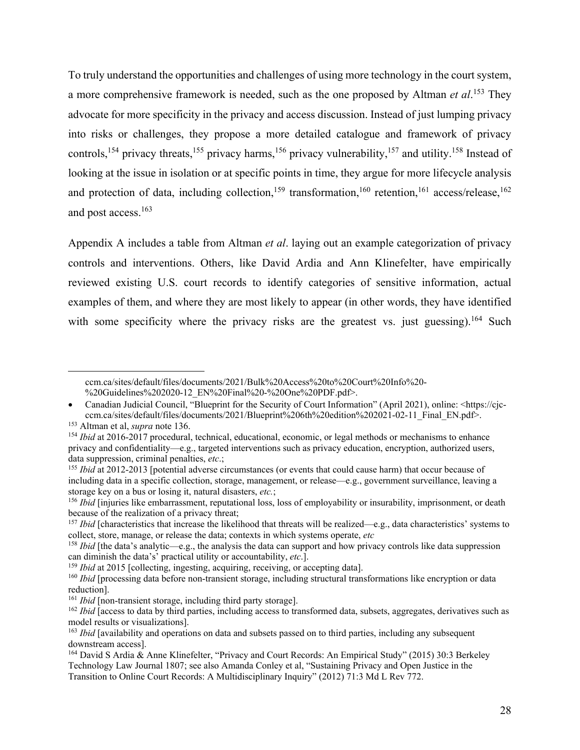To truly understand the opportunities and challenges of using more technology in the court system, a more comprehensive framework is needed, such as the one proposed by Altman *et al*. 153 They advocate for more specificity in the privacy and access discussion. Instead of just lumping privacy into risks or challenges, they propose a more detailed catalogue and framework of privacy controls,<sup>154</sup> privacy threats,<sup>155</sup> privacy harms,<sup>156</sup> privacy vulnerability,<sup>157</sup> and utility.<sup>158</sup> Instead of looking at the issue in isolation or at specific points in time, they argue for more lifecycle analysis and protection of data, including collection,<sup>159</sup> transformation,<sup>160</sup> retention,<sup>161</sup> access/release,<sup>162</sup> and post access.163

Appendix A includes a table from Altman *et al*. laying out an example categorization of privacy controls and interventions. Others, like David Ardia and Ann Klinefelter, have empirically reviewed existing U.S. court records to identify categories of sensitive information, actual examples of them, and where they are most likely to appear (in other words, they have identified with some specificity where the privacy risks are the greatest vs. just guessing).<sup>164</sup> Such

ccm.ca/sites/default/files/documents/2021/Bulk%20Access%20to%20Court%20Info%20- %20Guidelines%202020-12\_EN%20Final%20-%20One%20PDF.pdf>.

<sup>•</sup> Canadian Judicial Council, "Blueprint for the Security of Court Information" (April 2021), online: <https://cjcccm.ca/sites/default/files/documents/2021/Blueprint%206th%20edition%202021-02-11\_Final\_EN.pdf>.<br><sup>153</sup> Altman et al, *supra* note 136.<br><sup>154</sup> *Ibid* at 2016-2017 procedural, technical, educational, economic, or legal methods

privacy and confidentiality—e.g., targeted interventions such as privacy education, encryption, authorized users, data suppression, criminal penalties, *etc*.;

<sup>&</sup>lt;sup>155</sup> *Ibid* at 2012-2013 [potential adverse circumstances (or events that could cause harm) that occur because of including data in a specific collection, storage, management, or release—e.g., government surveillance, leaving a storage key on a bus or losing it, natural disasters, *etc*.;<br><sup>156</sup> *Ibid* [injuries like embarrassment, reputational loss, loss of employability or insurability, imprisonment, or death

because of the realization of a privacy threat;

<sup>&</sup>lt;sup>157</sup> *Ibid* [characteristics that increase the likelihood that threats will be realized—e.g., data characteristics' systems to collect, store, manage, or release the data; contexts in which systems operate, *etc*

<sup>158</sup> *Ibid* [the data's analytic—e.g., the analysis the data can support and how privacy controls like data suppression can diminish the data's' practical utility or accountability, *etc*.].<br><sup>159</sup> *Ibid* at 2015 [collecting, ingesting, acquiring, receiving, or accepting data].<br><sup>159</sup> *Ibid* [processing data before non-transient storage, incl

reduction].<br><sup>161</sup> *Ibid* [non-transient storage, including third party storage].

<sup>&</sup>lt;sup>162</sup> *Ibid* [access to data by third parties, including access to transformed data, subsets, aggregates, derivatives such as model results or visualizations].

<sup>&</sup>lt;sup>163</sup> *Ibid* [availability and operations on data and subsets passed on to third parties, including any subsequent downstream access].

<sup>164</sup> David S Ardia & Anne Klinefelter, "Privacy and Court Records: An Empirical Study" (2015) 30:3 Berkeley Technology Law Journal 1807; see also Amanda Conley et al, "Sustaining Privacy and Open Justice in the Transition to Online Court Records: A Multidisciplinary Inquiry" (2012) 71:3 Md L Rev 772.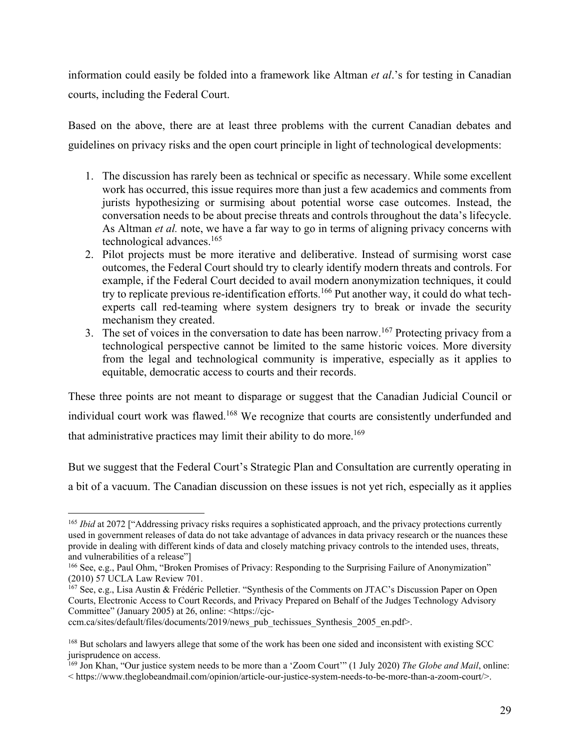information could easily be folded into a framework like Altman *et al*.'s for testing in Canadian courts, including the Federal Court.

Based on the above, there are at least three problems with the current Canadian debates and guidelines on privacy risks and the open court principle in light of technological developments:

- 1. The discussion has rarely been as technical or specific as necessary. While some excellent work has occurred, this issue requires more than just a few academics and comments from jurists hypothesizing or surmising about potential worse case outcomes. Instead, the conversation needs to be about precise threats and controls throughout the data's lifecycle. As Altman *et al.* note, we have a far way to go in terms of aligning privacy concerns with technological advances.165
- 2. Pilot projects must be more iterative and deliberative. Instead of surmising worst case outcomes, the Federal Court should try to clearly identify modern threats and controls. For example, if the Federal Court decided to avail modern anonymization techniques, it could try to replicate previous re-identification efforts.<sup>166</sup> Put another way, it could do what techexperts call red-teaming where system designers try to break or invade the security mechanism they created.
- 3. The set of voices in the conversation to date has been narrow.<sup>167</sup> Protecting privacy from a technological perspective cannot be limited to the same historic voices. More diversity from the legal and technological community is imperative, especially as it applies to equitable, democratic access to courts and their records.

These three points are not meant to disparage or suggest that the Canadian Judicial Council or individual court work was flawed.<sup>168</sup> We recognize that courts are consistently underfunded and that administrative practices may limit their ability to do more.<sup>169</sup>

But we suggest that the Federal Court's Strategic Plan and Consultation are currently operating in a bit of a vacuum. The Canadian discussion on these issues is not yet rich, especially as it applies

<sup>&</sup>lt;sup>165</sup> *Ibid* at 2072 ["Addressing privacy risks requires a sophisticated approach, and the privacy protections currently used in government releases of data do not take advantage of advances in data privacy research or the nuances these provide in dealing with different kinds of data and closely matching privacy controls to the intended uses, threats, and vulnerabilities of a release"]

<sup>166</sup> See, e.g., Paul Ohm, "Broken Promises of Privacy: Responding to the Surprising Failure of Anonymization" (2010) 57 UCLA Law Review 701.

<sup>&</sup>lt;sup>167</sup> See, e.g., Lisa Austin & Frédéric Pelletier. "Synthesis of the Comments on JTAC's Discussion Paper on Open Courts, Electronic Access to Court Records, and Privacy Prepared on Behalf of the Judges Technology Advisory Committee" (January 2005) at 26, online: <https://cjc-

ccm.ca/sites/default/files/documents/2019/news\_pub\_techissues\_Synthesis\_2005\_en.pdf>.

<sup>168</sup> But scholars and lawyers allege that some of the work has been one sided and inconsistent with existing SCC jurisprudence on access.

<sup>169</sup> Jon Khan, "Our justice system needs to be more than a 'Zoom Court'" (1 July 2020) *The Globe and Mail*, online: < https://www.theglobeandmail.com/opinion/article-our-justice-system-needs-to-be-more-than-a-zoom-court/>.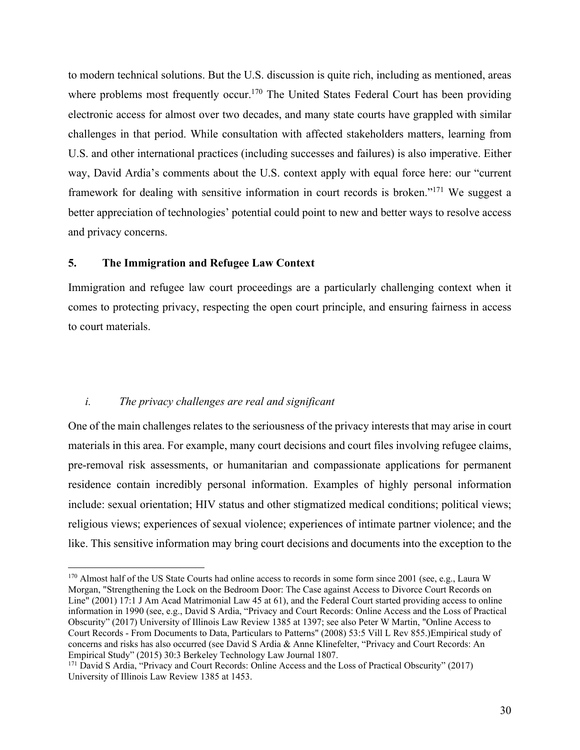to modern technical solutions. But the U.S. discussion is quite rich, including as mentioned, areas where problems most frequently occur.<sup>170</sup> The United States Federal Court has been providing electronic access for almost over two decades, and many state courts have grappled with similar challenges in that period. While consultation with affected stakeholders matters, learning from U.S. and other international practices (including successes and failures) is also imperative. Either way, David Ardia's comments about the U.S. context apply with equal force here: our "current framework for dealing with sensitive information in court records is broken."171 We suggest a better appreciation of technologies' potential could point to new and better ways to resolve access and privacy concerns.

#### **5. The Immigration and Refugee Law Context**

Immigration and refugee law court proceedings are a particularly challenging context when it comes to protecting privacy, respecting the open court principle, and ensuring fairness in access to court materials.

#### *i. The privacy challenges are real and significant*

One of the main challenges relates to the seriousness of the privacy interests that may arise in court materials in this area. For example, many court decisions and court files involving refugee claims, pre-removal risk assessments, or humanitarian and compassionate applications for permanent residence contain incredibly personal information. Examples of highly personal information include: sexual orientation; HIV status and other stigmatized medical conditions; political views; religious views; experiences of sexual violence; experiences of intimate partner violence; and the like. This sensitive information may bring court decisions and documents into the exception to the

<sup>&</sup>lt;sup>170</sup> Almost half of the US State Courts had online access to records in some form since 2001 (see, e.g., Laura W Morgan, "Strengthening the Lock on the Bedroom Door: The Case against Access to Divorce Court Records on Line" (2001) 17:1 J Am Acad Matrimonial Law 45 at 61), and the Federal Court started providing access to online information in 1990 (see, e.g., David S Ardia, "Privacy and Court Records: Online Access and the Loss of Practical Obscurity" (2017) University of Illinois Law Review 1385 at 1397; see also Peter W Martin, "Online Access to Court Records - From Documents to Data, Particulars to Patterns" (2008) 53:5 Vill L Rev 855.)Empirical study of concerns and risks has also occurred (see David S Ardia & Anne Klinefelter, "Privacy and Court Records: An Empirical Study" (2015) 30:3 Berkeley Technology Law Journal 1807.

<sup>171</sup> David S Ardia, "Privacy and Court Records: Online Access and the Loss of Practical Obscurity" (2017) University of Illinois Law Review 1385 at 1453.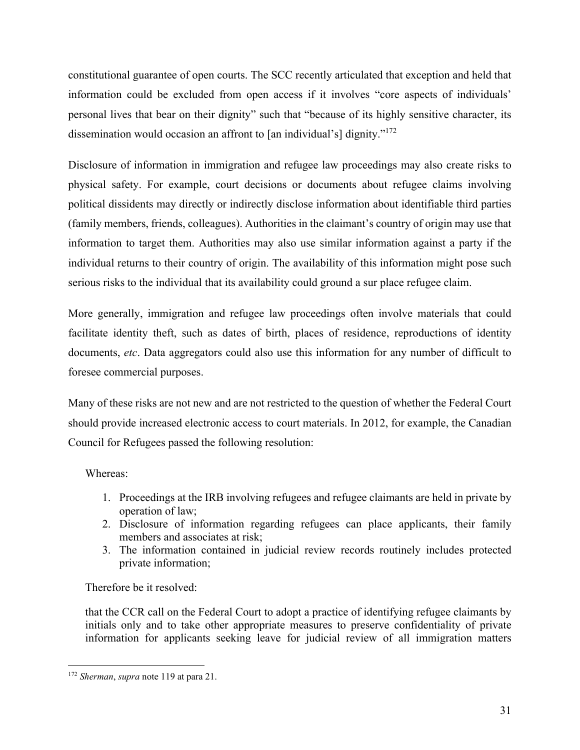constitutional guarantee of open courts. The SCC recently articulated that exception and held that information could be excluded from open access if it involves "core aspects of individuals' personal lives that bear on their dignity" such that "because of its highly sensitive character, its dissemination would occasion an affront to [an individual's] dignity."172

Disclosure of information in immigration and refugee law proceedings may also create risks to physical safety. For example, court decisions or documents about refugee claims involving political dissidents may directly or indirectly disclose information about identifiable third parties (family members, friends, colleagues). Authorities in the claimant's country of origin may use that information to target them. Authorities may also use similar information against a party if the individual returns to their country of origin. The availability of this information might pose such serious risks to the individual that its availability could ground a sur place refugee claim.

More generally, immigration and refugee law proceedings often involve materials that could facilitate identity theft, such as dates of birth, places of residence, reproductions of identity documents, *etc*. Data aggregators could also use this information for any number of difficult to foresee commercial purposes.

Many of these risks are not new and are not restricted to the question of whether the Federal Court should provide increased electronic access to court materials. In 2012, for example, the Canadian Council for Refugees passed the following resolution:

## Whereas:

- 1. Proceedings at the IRB involving refugees and refugee claimants are held in private by operation of law;
- 2. Disclosure of information regarding refugees can place applicants, their family members and associates at risk;
- 3. The information contained in judicial review records routinely includes protected private information;

Therefore be it resolved:

that the CCR call on the Federal Court to adopt a practice of identifying refugee claimants by initials only and to take other appropriate measures to preserve confidentiality of private information for applicants seeking leave for judicial review of all immigration matters

<sup>172</sup> *Sherman*, *supra* note 119 at para 21.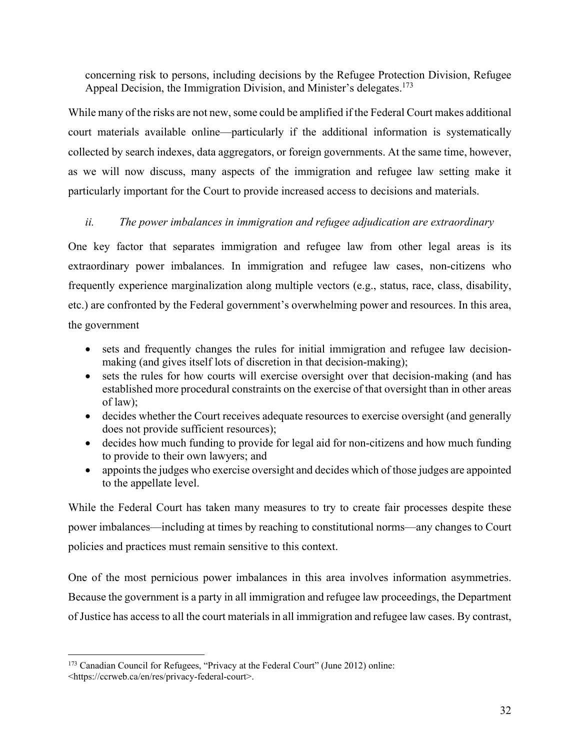concerning risk to persons, including decisions by the Refugee Protection Division, Refugee Appeal Decision, the Immigration Division, and Minister's delegates.<sup>173</sup>

While many of the risks are not new, some could be amplified if the Federal Court makes additional court materials available online—particularly if the additional information is systematically collected by search indexes, data aggregators, or foreign governments. At the same time, however, as we will now discuss, many aspects of the immigration and refugee law setting make it particularly important for the Court to provide increased access to decisions and materials.

### *ii. The power imbalances in immigration and refugee adjudication are extraordinary*

One key factor that separates immigration and refugee law from other legal areas is its extraordinary power imbalances. In immigration and refugee law cases, non-citizens who frequently experience marginalization along multiple vectors (e.g., status, race, class, disability, etc.) are confronted by the Federal government's overwhelming power and resources. In this area, the government

- sets and frequently changes the rules for initial immigration and refugee law decisionmaking (and gives itself lots of discretion in that decision-making);
- sets the rules for how courts will exercise oversight over that decision-making (and has established more procedural constraints on the exercise of that oversight than in other areas of law);
- decides whether the Court receives adequate resources to exercise oversight (and generally does not provide sufficient resources);
- decides how much funding to provide for legal aid for non-citizens and how much funding to provide to their own lawyers; and
- appoints the judges who exercise oversight and decides which of those judges are appointed to the appellate level.

While the Federal Court has taken many measures to try to create fair processes despite these power imbalances—including at times by reaching to constitutional norms—any changes to Court policies and practices must remain sensitive to this context.

One of the most pernicious power imbalances in this area involves information asymmetries. Because the government is a party in all immigration and refugee law proceedings, the Department of Justice has access to all the court materials in all immigration and refugee law cases. By contrast,

<sup>&</sup>lt;sup>173</sup> Canadian Council for Refugees, "Privacy at the Federal Court" (June 2012) online: <https://ccrweb.ca/en/res/privacy-federal-court>.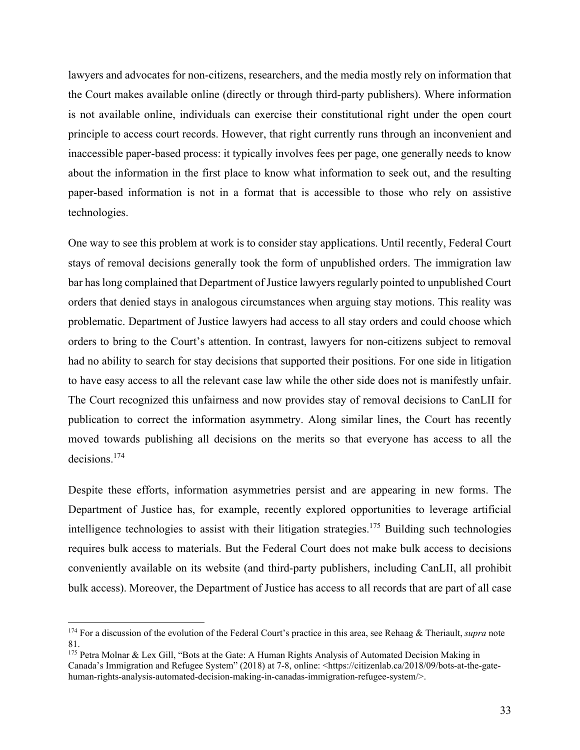lawyers and advocates for non-citizens, researchers, and the media mostly rely on information that the Court makes available online (directly or through third-party publishers). Where information is not available online, individuals can exercise their constitutional right under the open court principle to access court records. However, that right currently runs through an inconvenient and inaccessible paper-based process: it typically involves fees per page, one generally needs to know about the information in the first place to know what information to seek out, and the resulting paper-based information is not in a format that is accessible to those who rely on assistive technologies.

One way to see this problem at work is to consider stay applications. Until recently, Federal Court stays of removal decisions generally took the form of unpublished orders. The immigration law bar has long complained that Department of Justice lawyers regularly pointed to unpublished Court orders that denied stays in analogous circumstances when arguing stay motions. This reality was problematic. Department of Justice lawyers had access to all stay orders and could choose which orders to bring to the Court's attention. In contrast, lawyers for non-citizens subject to removal had no ability to search for stay decisions that supported their positions. For one side in litigation to have easy access to all the relevant case law while the other side does not is manifestly unfair. The Court recognized this unfairness and now provides stay of removal decisions to CanLII for publication to correct the information asymmetry. Along similar lines, the Court has recently moved towards publishing all decisions on the merits so that everyone has access to all the decisions.174

Despite these efforts, information asymmetries persist and are appearing in new forms. The Department of Justice has, for example, recently explored opportunities to leverage artificial intelligence technologies to assist with their litigation strategies.<sup>175</sup> Building such technologies requires bulk access to materials. But the Federal Court does not make bulk access to decisions conveniently available on its website (and third-party publishers, including CanLII, all prohibit bulk access). Moreover, the Department of Justice has access to all records that are part of all case

<sup>174</sup> For a discussion of the evolution of the Federal Court's practice in this area, see Rehaag & Theriault, *supra* note 81.

<sup>175</sup> Petra Molnar & Lex Gill, "Bots at the Gate: A Human Rights Analysis of Automated Decision Making in Canada's Immigration and Refugee System" (2018) at 7-8, online: <https://citizenlab.ca/2018/09/bots-at-the-gatehuman-rights-analysis-automated-decision-making-in-canadas-immigration-refugee-system/>.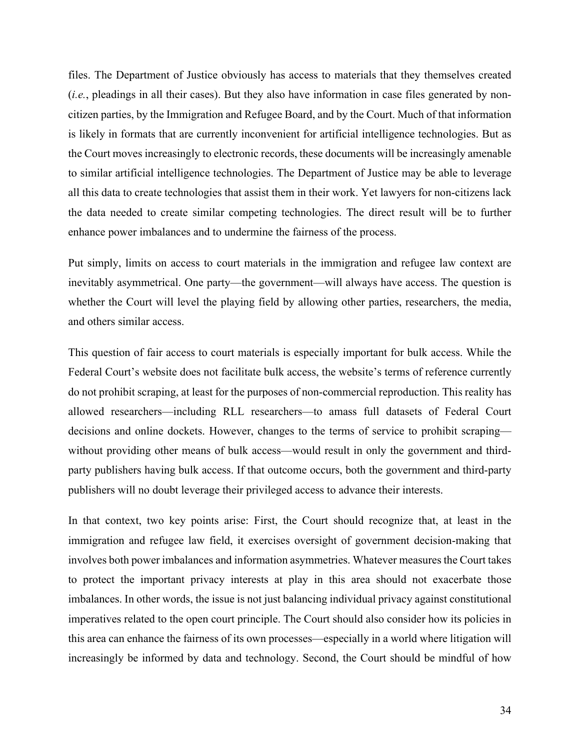files. The Department of Justice obviously has access to materials that they themselves created (*i.e.*, pleadings in all their cases). But they also have information in case files generated by noncitizen parties, by the Immigration and Refugee Board, and by the Court. Much of that information is likely in formats that are currently inconvenient for artificial intelligence technologies. But as the Court moves increasingly to electronic records, these documents will be increasingly amenable to similar artificial intelligence technologies. The Department of Justice may be able to leverage all this data to create technologies that assist them in their work. Yet lawyers for non-citizens lack the data needed to create similar competing technologies. The direct result will be to further enhance power imbalances and to undermine the fairness of the process.

Put simply, limits on access to court materials in the immigration and refugee law context are inevitably asymmetrical. One party—the government—will always have access. The question is whether the Court will level the playing field by allowing other parties, researchers, the media, and others similar access.

This question of fair access to court materials is especially important for bulk access. While the Federal Court's website does not facilitate bulk access, the website's terms of reference currently do not prohibit scraping, at least for the purposes of non-commercial reproduction. This reality has allowed researchers—including RLL researchers—to amass full datasets of Federal Court decisions and online dockets. However, changes to the terms of service to prohibit scraping without providing other means of bulk access—would result in only the government and thirdparty publishers having bulk access. If that outcome occurs, both the government and third-party publishers will no doubt leverage their privileged access to advance their interests.

In that context, two key points arise: First, the Court should recognize that, at least in the immigration and refugee law field, it exercises oversight of government decision-making that involves both power imbalances and information asymmetries. Whatever measures the Court takes to protect the important privacy interests at play in this area should not exacerbate those imbalances. In other words, the issue is not just balancing individual privacy against constitutional imperatives related to the open court principle. The Court should also consider how its policies in this area can enhance the fairness of its own processes—especially in a world where litigation will increasingly be informed by data and technology. Second, the Court should be mindful of how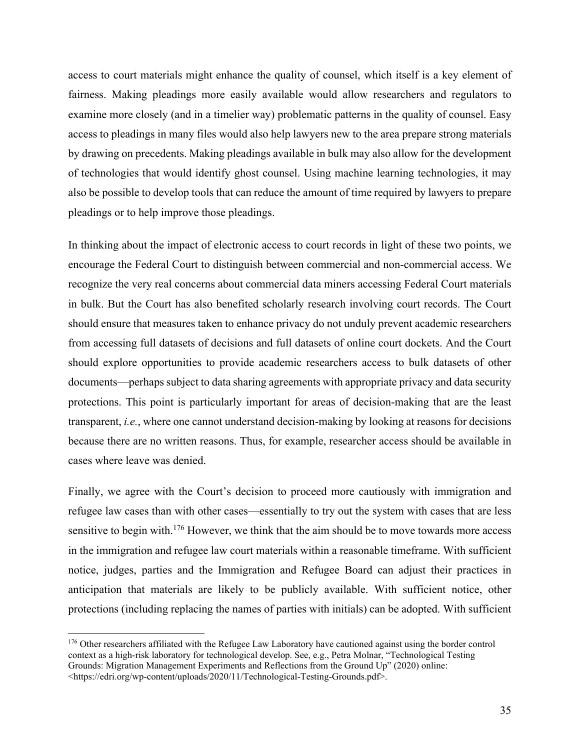access to court materials might enhance the quality of counsel, which itself is a key element of fairness. Making pleadings more easily available would allow researchers and regulators to examine more closely (and in a timelier way) problematic patterns in the quality of counsel. Easy access to pleadings in many files would also help lawyers new to the area prepare strong materials by drawing on precedents. Making pleadings available in bulk may also allow for the development of technologies that would identify ghost counsel. Using machine learning technologies, it may also be possible to develop tools that can reduce the amount of time required by lawyers to prepare pleadings or to help improve those pleadings.

In thinking about the impact of electronic access to court records in light of these two points, we encourage the Federal Court to distinguish between commercial and non-commercial access. We recognize the very real concerns about commercial data miners accessing Federal Court materials in bulk. But the Court has also benefited scholarly research involving court records. The Court should ensure that measures taken to enhance privacy do not unduly prevent academic researchers from accessing full datasets of decisions and full datasets of online court dockets. And the Court should explore opportunities to provide academic researchers access to bulk datasets of other documents—perhaps subject to data sharing agreements with appropriate privacy and data security protections. This point is particularly important for areas of decision-making that are the least transparent, *i.e.*, where one cannot understand decision-making by looking at reasons for decisions because there are no written reasons. Thus, for example, researcher access should be available in cases where leave was denied.

Finally, we agree with the Court's decision to proceed more cautiously with immigration and refugee law cases than with other cases—essentially to try out the system with cases that are less sensitive to begin with.<sup>176</sup> However, we think that the aim should be to move towards more access in the immigration and refugee law court materials within a reasonable timeframe. With sufficient notice, judges, parties and the Immigration and Refugee Board can adjust their practices in anticipation that materials are likely to be publicly available. With sufficient notice, other protections (including replacing the names of parties with initials) can be adopted. With sufficient

<sup>&</sup>lt;sup>176</sup> Other researchers affiliated with the Refugee Law Laboratory have cautioned against using the border control context as a high-risk laboratory for technological develop. See, e.g., Petra Molnar, "Technological Testing Grounds: Migration Management Experiments and Reflections from the Ground Up" (2020) online: <https://edri.org/wp-content/uploads/2020/11/Technological-Testing-Grounds.pdf>.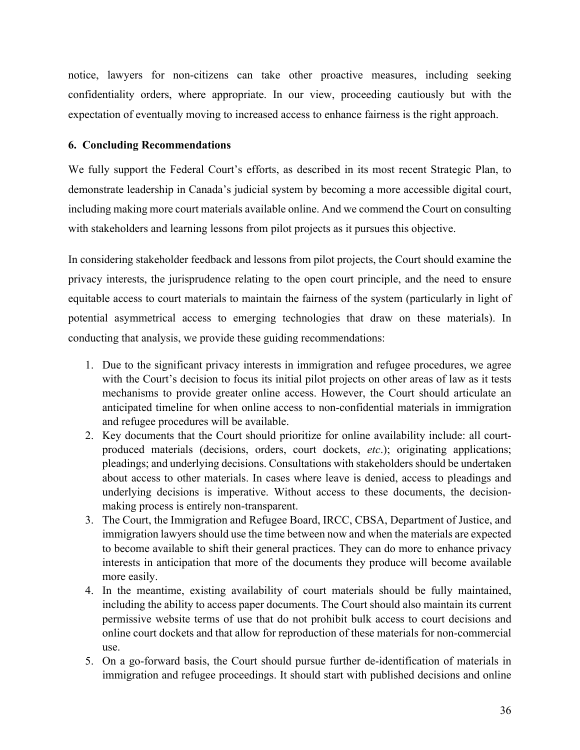notice, lawyers for non-citizens can take other proactive measures, including seeking confidentiality orders, where appropriate. In our view, proceeding cautiously but with the expectation of eventually moving to increased access to enhance fairness is the right approach.

## **6. Concluding Recommendations**

We fully support the Federal Court's efforts, as described in its most recent Strategic Plan, to demonstrate leadership in Canada's judicial system by becoming a more accessible digital court, including making more court materials available online. And we commend the Court on consulting with stakeholders and learning lessons from pilot projects as it pursues this objective.

In considering stakeholder feedback and lessons from pilot projects, the Court should examine the privacy interests, the jurisprudence relating to the open court principle, and the need to ensure equitable access to court materials to maintain the fairness of the system (particularly in light of potential asymmetrical access to emerging technologies that draw on these materials). In conducting that analysis, we provide these guiding recommendations:

- 1. Due to the significant privacy interests in immigration and refugee procedures, we agree with the Court's decision to focus its initial pilot projects on other areas of law as it tests mechanisms to provide greater online access. However, the Court should articulate an anticipated timeline for when online access to non-confidential materials in immigration and refugee procedures will be available.
- 2. Key documents that the Court should prioritize for online availability include: all courtproduced materials (decisions, orders, court dockets, *etc*.); originating applications; pleadings; and underlying decisions. Consultations with stakeholders should be undertaken about access to other materials. In cases where leave is denied, access to pleadings and underlying decisions is imperative. Without access to these documents, the decisionmaking process is entirely non-transparent.
- 3. The Court, the Immigration and Refugee Board, IRCC, CBSA, Department of Justice, and immigration lawyers should use the time between now and when the materials are expected to become available to shift their general practices. They can do more to enhance privacy interests in anticipation that more of the documents they produce will become available more easily.
- 4. In the meantime, existing availability of court materials should be fully maintained, including the ability to access paper documents. The Court should also maintain its current permissive website terms of use that do not prohibit bulk access to court decisions and online court dockets and that allow for reproduction of these materials for non-commercial use.
- 5. On a go-forward basis, the Court should pursue further de-identification of materials in immigration and refugee proceedings. It should start with published decisions and online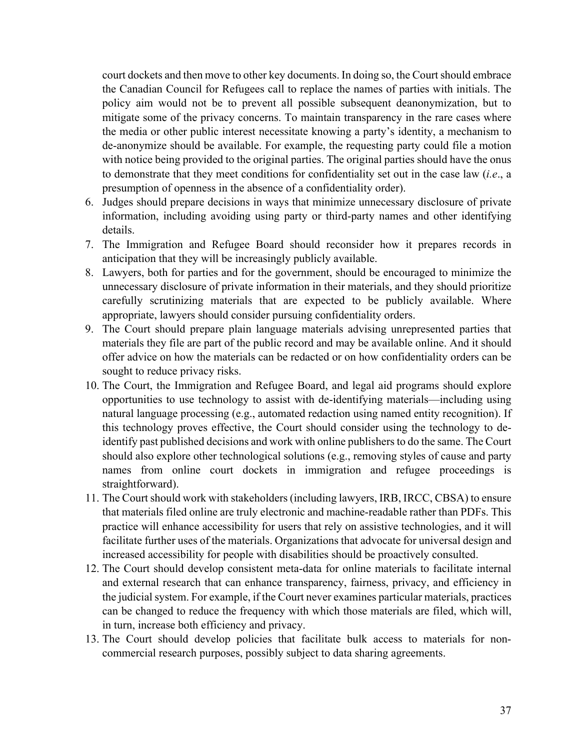court dockets and then move to other key documents. In doing so, the Court should embrace the Canadian Council for Refugees call to replace the names of parties with initials. The policy aim would not be to prevent all possible subsequent deanonymization, but to mitigate some of the privacy concerns. To maintain transparency in the rare cases where the media or other public interest necessitate knowing a party's identity, a mechanism to de-anonymize should be available. For example, the requesting party could file a motion with notice being provided to the original parties. The original parties should have the onus to demonstrate that they meet conditions for confidentiality set out in the case law (*i.e*., a presumption of openness in the absence of a confidentiality order).

- 6. Judges should prepare decisions in ways that minimize unnecessary disclosure of private information, including avoiding using party or third-party names and other identifying details.
- 7. The Immigration and Refugee Board should reconsider how it prepares records in anticipation that they will be increasingly publicly available.
- 8. Lawyers, both for parties and for the government, should be encouraged to minimize the unnecessary disclosure of private information in their materials, and they should prioritize carefully scrutinizing materials that are expected to be publicly available. Where appropriate, lawyers should consider pursuing confidentiality orders.
- 9. The Court should prepare plain language materials advising unrepresented parties that materials they file are part of the public record and may be available online. And it should offer advice on how the materials can be redacted or on how confidentiality orders can be sought to reduce privacy risks.
- 10. The Court, the Immigration and Refugee Board, and legal aid programs should explore opportunities to use technology to assist with de-identifying materials—including using natural language processing (e.g., automated redaction using named entity recognition). If this technology proves effective, the Court should consider using the technology to deidentify past published decisions and work with online publishers to do the same. The Court should also explore other technological solutions (e.g., removing styles of cause and party names from online court dockets in immigration and refugee proceedings is straightforward).
- 11. The Court should work with stakeholders (including lawyers, IRB, IRCC, CBSA) to ensure that materials filed online are truly electronic and machine-readable rather than PDFs. This practice will enhance accessibility for users that rely on assistive technologies, and it will facilitate further uses of the materials. Organizations that advocate for universal design and increased accessibility for people with disabilities should be proactively consulted.
- 12. The Court should develop consistent meta-data for online materials to facilitate internal and external research that can enhance transparency, fairness, privacy, and efficiency in the judicial system. For example, if the Court never examines particular materials, practices can be changed to reduce the frequency with which those materials are filed, which will, in turn, increase both efficiency and privacy.
- 13. The Court should develop policies that facilitate bulk access to materials for noncommercial research purposes, possibly subject to data sharing agreements.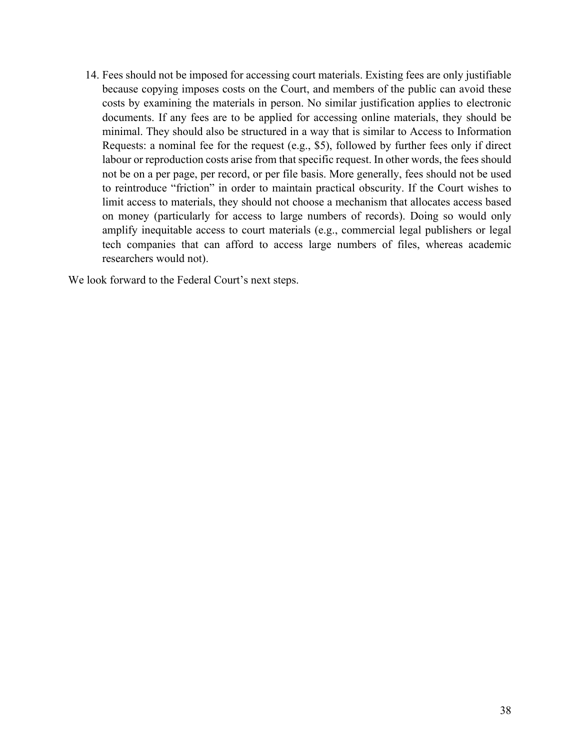14. Fees should not be imposed for accessing court materials. Existing fees are only justifiable because copying imposes costs on the Court, and members of the public can avoid these costs by examining the materials in person. No similar justification applies to electronic documents. If any fees are to be applied for accessing online materials, they should be minimal. They should also be structured in a way that is similar to Access to Information Requests: a nominal fee for the request (e.g., \$5), followed by further fees only if direct labour or reproduction costs arise from that specific request. In other words, the fees should not be on a per page, per record, or per file basis. More generally, fees should not be used to reintroduce "friction" in order to maintain practical obscurity. If the Court wishes to limit access to materials, they should not choose a mechanism that allocates access based on money (particularly for access to large numbers of records). Doing so would only amplify inequitable access to court materials (e.g., commercial legal publishers or legal tech companies that can afford to access large numbers of files, whereas academic researchers would not).

We look forward to the Federal Court's next steps.